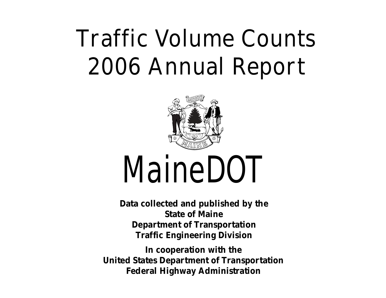# **Traffic Volume Counts 2006 Annual Report**



# *MaineDOT*

**Data collected and published by the State of Maine Department of Transportation Traffic Engineering Division** 

**In cooperation with the United States Department of Transportation Federal Highway Administration**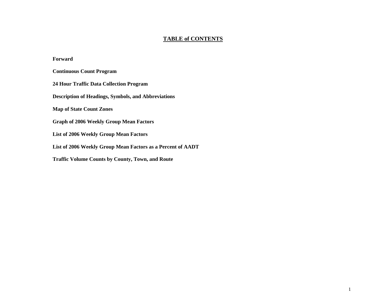### **TABLE of CONTENTS**

### **Forward**

**Continuous Count Program** 

**24 Hour Traffic Data Collection Program** 

**Description of Headings, Symbols, and Abbreviations** 

**Map of State Count Zones** 

**Graph of 2006 Weekly Group Mean Factors** 

**List of 2006 Weekly Group Mean Factors** 

**List of 2006 Weekly Group Mean Factors as a Percent of AADT** 

**Traffic Volume Counts by County, Town, and Route**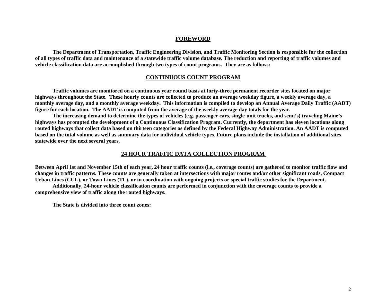### **FOREWORD**

**The Department of Transportation, Traffic Engineering Division, and Traffic Monitoring Section is responsible for the collection of all types of traffic data and maintenance of a statewide traffic volume database. The reduction and reporting of traffic volumes and vehicle classification data are accomplished through two types of count programs. They are as follows:** 

### **CONTINUOUS COUNT PROGRAM**

**Traffic volumes are monitored on a continuous year round basis at forty-three permanent recorder sites located on major highways throughout the State. These hourly counts are collected to produce an average weekday figure, a weekly average day, a monthly average day, and a monthly average weekday. This information is compiled to develop an Annual Average Daily Traffic (AADT) figure for each location. The AADT is computed from the average of the weekly average day totals for the year.** 

**The increasing demand to determine the types of vehicles (e.g. passenger cars, single-unit trucks, and semi's) traveling Maine's highways has prompted the development of a Continuous Classification Program. Currently, the department has eleven locations along routed highways that collect data based on thirteen categories as defined by the Federal Highway Administration. An AADT is computed based on the total volume as well as summary data for individual vehicle types. Future plans include the installation of additional sites statewide over the next several years.** 

### **24 HOUR TRAFFIC DATA COLLECTION PROGRAM**

**Between April 1st and November 15th of each year, 24 hour traffic counts (i.e., coverage counts) are gathered to monitor traffic flow and changes in traffic patterns. These counts are generally taken at intersections with major routes and/or other significant roads, Compact Urban Lines (CUL), or Town Lines (TL), or in coordination with ongoing projects or special traffic studies for the Department.** 

**Additionally, 24-hour vehicle classification counts are performed in conjunction with the coverage counts to provide a comprehensive view of traffic along the routed highways.** 

**The State is divided into three count zones:**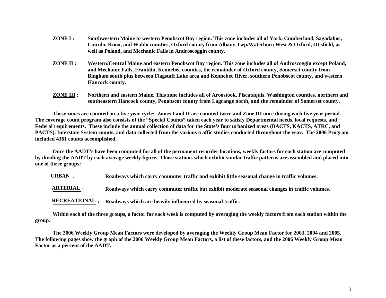- **ZONE I : Southwestern Maine to western Penobscot Bay region. This zone includes all of York, Cumberland, Sagadahoc, Lincoln, Knox, and Waldo counties, Oxford county from Albany Twp/Waterboro West & Oxford, Otisfield, as well as Poland, and Mechanic Falls in Androscoggin county.**
- **ZONE II : Western/Central Maine and eastern Penobscot Bay region. This zone includes all of Androscoggin except Poland, and Mechanic Falls, Franklin, Kennebec counties, the remainder of Oxford county, Somerset county from Bingham south plus between Flagstaff Lake area and Kennebec River, southern Penobscot county, and western Hancock county.**
- **ZONE III : Northern and eastern Maine. This zone includes all of Aroostook, Piscataquis, Washington counties, northern and southeastern Hancock county, Penobscot county from Lagrange north, and the remainder of Somerset county.**

**These zones are counted on a five year cycle: Zones I and II are counted twice and Zone III once during each five year period. The coverage count program also consists of the "Special Counts" taken each year to satisfy Departmental needs, local requests, and Federal requirements. These include the annual collection of data for the State's four urbanized areas (BACTS, KACTS, ATRC, and PACTS), Interstate System counts, and data collected from the various traffic studies conducted throughout the year. The 2006 Program included 4361 counts accomplished.** 

**Once the AADT's have been computed for all of the permanent recorder locations, weekly factors for each station are computed by dividing the AADT by each average weekly figure. Those stations which exhibit similar traffic patterns are assembled and placed into one of three groups:** 

**: Roadways which carry commuter traffic and exhibit little seasonal change in traffic volumes. URBAN**

**ARTERIAL : Roadways which carry commuter traffic but exhibit moderate seasonal changes in traffic volumes.** 

**RECREATIONAL : Roadways which are heavily influenced by seasonal traffic.** 

**Within each of the three groups, a factor for each week is computed by averaging the weekly factors from each station within the group.** 

**The 2006 Weekly Group Mean Factors were developed by averaging the Weekly Group Mean Factor for 2003, 2004 and 2005. The following pages show the graph of the 2006 Weekly Group Mean Factors, a list of these factors, and the 2006 Weekly Group Mean Factor as a percent of the AADT.**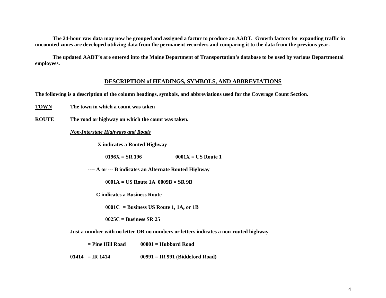**The 24-hour raw data may now be grouped and assigned a factor to produce an AADT. Growth factors for expanding traffic in uncounted z ones are developed utilizing data from the permanent recorders and comparing it to the data from the previous year.** 

**The updated AADT's are entered into the Maine Department of Transportation's database to be used by various Departmental employees.** 

### **DESCRIPTION of HEADINGS, SYMBOLS, AND ABBREVIATIONS**

**The following is a description of the column headings, symbols, and abbreviations used for the Coverage Count Section.** 

**TOWN The town in which a count was taken** 

**ROUTE The road or highway on which the count was taken.** 

### *Non-Interstate Highways and Roads*

**---- X indicates a Routed Highway** 

**0196X = SR 196 0001X = US Route 1** 

**---- A or --- B indicates an Alternate Routed Highway** 

**0001A = US Route 1A 0009B = SR 9B** 

**---- C indicates a Business Route** 

**0001C = Business US Route 1, 1A, or 1B** 

**0025C = Business SR 25** 

**Just a number with no letter OR no numbers or letters indicates a non-routed highway** 

**= Pine Hill Road 00001 = Hubbard Road** 

**01414 = IR 1414 00991 = IR 991 (Biddeford Road)**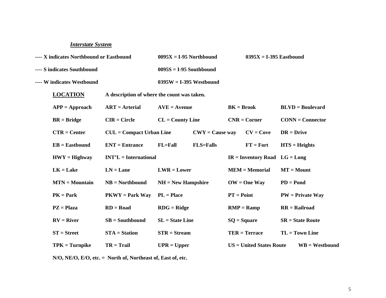### *Interstate System*

| ---- X indicates Northbound or Eastbound |                                             | $0095X = I-95$ Northbound   |                   | $0395X = I-395$ Eastbound |                                   |                    |                        |  |  |
|------------------------------------------|---------------------------------------------|-----------------------------|-------------------|---------------------------|-----------------------------------|--------------------|------------------------|--|--|
| ---- S indicates Southbound              |                                             | $0095S = I-95$ Southbound   |                   |                           |                                   |                    |                        |  |  |
| ---- W indicates Westbound               |                                             | $0395W = I-395$ Westbound   |                   |                           |                                   |                    |                        |  |  |
| <b>LOCATION</b>                          | A description of where the count was taken. |                             |                   |                           |                                   |                    |                        |  |  |
| $APP = Approad$                          | $ART = Arterial$                            | $AVE = A$ venue             |                   | $BK = Brook$              |                                   | $BLVD = Boulevant$ |                        |  |  |
| $BR = Bridge$                            | $CIR = Circle$                              | $CL = County Line$          |                   |                           | $CNR = Corner$                    |                    | $CONN = Connector$     |  |  |
| $CTR = Center$                           | $CUL = Compact Urban Line$                  |                             | $CWY = Cause$ way |                           | $CV = Cove$                       | $DR = Drive$       |                        |  |  |
| $EB = Eastbound$                         | $ENT = Entrance$                            | $FL = Fall$                 | <b>FLS=Falls</b>  |                           | $FT = Fort$                       |                    | $HTS = Heights$        |  |  |
| $HWY = Highway$                          | $INT'L = International$                     |                             |                   |                           | $IR =$ Inventory Road $LG =$ Long |                    |                        |  |  |
| $LK = Lake$                              | $LN = Lane$                                 | $LWR = Lower$               |                   |                           | $MEM = Memorial$                  |                    | $MT = Mount$           |  |  |
| $MTN = Mountain$                         | $NB = Northbound$                           | $NH = New Hampshire$        |                   |                           | $OW = One Way$                    | $PD = Pond$        |                        |  |  |
| $PK = Park$                              | $PKWY = Park Way$                           | $PL = Place$                |                   | $PT = Point$              |                                   |                    | $PW = Private Way$     |  |  |
| $PZ = Plaza$                             | $RD = Road$                                 | $R\text{DG} = \text{Ridge}$ |                   |                           | $RMP = Ramp$                      |                    | $RR = \text{Railroad}$ |  |  |
| $RV = River$                             | $SB = Southbound$                           | $SL = State Line$           |                   | $SQ = Square$             |                                   |                    | $SR = State Route$     |  |  |
| $ST = Street$                            | $STA = Station$                             |                             | $STR = Stream$    |                           | $TER = Terrace$                   | $TL = Town Line$   |                        |  |  |
| $TPK = Turnpike$                         | $TR = Trail$                                | $UPR = Upper$               |                   |                           | <b>US</b> = United States Route   |                    | $WB = Westbound$       |  |  |
|                                          |                                             |                             |                   |                           |                                   |                    |                        |  |  |

**N/O, NE/O, E/O, etc. = North of, Northeast of, East of, etc.**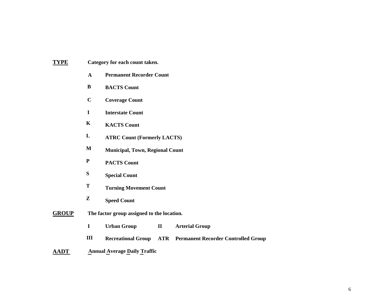| TYPE | Category for each count taken. |  |  |  |
|------|--------------------------------|--|--|--|
|------|--------------------------------|--|--|--|

- **A Permanent Recorder Count**
- **B BACTS Count**
- **C Coverage Count**
- **I Interstate Count**
- **K KACTS Count**
- **L ATRC Count (Formerly LACTS)**
- **M Municipal, Town, Regional Count**
- **P PACTS Count**
- **S Special Count**
- **T Turning Movement Count**
- **Z Speed Count**
- **GROUP The factor group assigned to the location.** 
	- **I Urban Group II Arterial Group**
	- **III Recreational Group ATR Permanent Recorder Controlled Group**
- **AADT** Annual Average Daily Traffic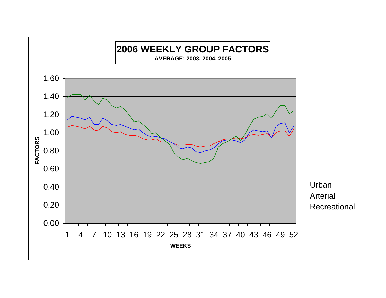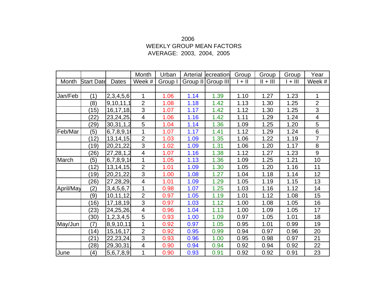### 2006 WEEKLY GROUP MEAN FACTORS AVERAGE: 2003, 2004, 2005

|           |                   |             | Month                    | Urban   | Arterial | ecreation          | Group    | Group      | Group   | Year                    |
|-----------|-------------------|-------------|--------------------------|---------|----------|--------------------|----------|------------|---------|-------------------------|
| Month     | <b>Start Date</b> | Dates       | Week #                   | Group I |          | Group II Group III | $  +   $ | $   +    $ | $+$ III | Week #                  |
|           |                   |             |                          |         |          |                    |          |            |         |                         |
| Jan/Feb   | (1)               | 2,3,4,5,6   | 1                        | 1.06    | 1.14     | 1.39               | 1.10     | 1.27       | 1.23    | 1                       |
|           | (8)               | 9,10,11,1   | $\overline{2}$           | 1.08    | 1.18     | 1.42               | 1.13     | 1.30       | 1.25    | $\overline{2}$          |
|           | (15)              | 16, 17, 18  | 3                        | 1.07    | 1.17     | 1.42               | 1.12     | 1.30       | 1.25    | 3                       |
|           | (22)              | 23,24,25    | 4                        | 1.06    | 1.16     | 1.42               | 1.11     | 1.29       | 1.24    | $\overline{\mathbf{4}}$ |
|           | (29)              | 30,31,1,2   | 5                        | 1.04    | 1.14     | 1.36               | 1.09     | 1.25       | 1.20    | 5                       |
| Feb/Mar   | (5)               | 6,7,8,9,1   | 1                        | 1.07    | 1.17     | 1.41               | 1.12     | 1.29       | 1.24    | 6                       |
|           | (12)              | 13, 14, 15  | $\overline{2}$           | 1.03    | 1.09     | 1.35               | 1.06     | 1.22       | 1.19    | $\overline{7}$          |
|           | (19)              | 20,21,22    | 3                        | 1.02    | 1.09     | 1.31               | 1.06     | 1.20       | 1.17    | 8                       |
|           | (26)              | 27,28,1,2   | $\overline{\mathbf{4}}$  | 1.07    | 1.16     | 1.38               | 1.12     | 1.27       | 1.23    | 9                       |
| March     | (5)               | 6,7,8,9,1   | 1                        | 1.05    | 1.13     | 1.36               | 1.09     | 1.25       | 1.21    | 10                      |
|           | (12)              | 13, 14, 15  | $\overline{2}$           | 1.01    | 1.09     | 1.30               | 1.05     | 1.20       | 1.16    | 11                      |
|           | (19)              | 20,21,22    | 3                        | 1.00    | 1.08     | 1.27               | 1.04     | 1.18       | 1.14    | 12                      |
|           | (26)              | 27,28,29    | $\overline{\mathcal{A}}$ | 1.01    | 1.09     | 1.29               | 1.05     | 1.19       | 1.15    | 13                      |
| April/May | (2)               | 3,4,5,6,7   | 1                        | 0.98    | 1.07     | 1.25               | 1.03     | 1.16       | 1.12    | 14                      |
|           | (9)               | 10, 11, 12  | $\overline{2}$           | 0.97    | 1.05     | 1.19               | 1.01     | 1.12       | 1.08    | 15                      |
|           | (16)              | 17, 18, 19  | 3                        | 0.97    | 1.03     | 1.12               | 1.00     | 1.08       | 1.05    | 16                      |
|           | (23)              | 24,25,26    | $\overline{\mathbf{4}}$  | 0.96    | 1.04     | 1.13               | 1.00     | 1.09       | 1.05    | 17                      |
|           | (30)              | 1,2,3,4,5   | 5                        | 0.93    | 1.00     | 1.09               | 0.97     | 1.05       | 1.01    | 18                      |
| May/Jun   | (7)               | 8,9,10,11   | 1                        | 0.92    | 0.97     | 1.05               | 0.95     | 1.01       | 0.99    | 19                      |
|           | (14)              | 15, 16, 17, | $\overline{2}$           | 0.92    | 0.95     | 0.99               | 0.94     | 0.97       | 0.96    | 20                      |
|           | (21)              | 22, 23, 24  | 3                        | 0.93    | 0.96     | 1.00               | 0.95     | 0.98       | 0.97    | 21                      |
|           | (28)              | 29,30,31    | $\overline{\mathbf{4}}$  | 0.90    | 0.94     | 0.94               | 0.92     | 0.94       | 0.92    | 22                      |
| June      | (4)               | 5,6,7,8,9   | 1                        | 0.90    | 0.93     | 0.91               | 0.92     | 0.92       | 0.91    | 23                      |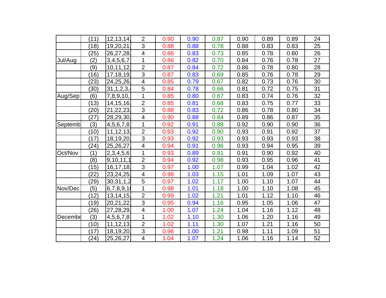|                | (11) | 12, 13, 14     | $\overline{2}$          | 0.90 | 0.90 | 0.87 | 0.90 | 0.89 | 0.89 | 24 |
|----------------|------|----------------|-------------------------|------|------|------|------|------|------|----|
|                | (18) | 19,20,21       | 3                       | 0.88 | 0.88 | 0.78 | 0.88 | 0.83 | 0.83 | 25 |
|                | (25) | 26,27,28       | $\overline{\mathbf{4}}$ | 0.86 | 0.83 | 0.73 | 0.85 | 0.78 | 0.80 | 26 |
| Jul/Aug        | (2)  | 3,4,5,6,7      | 1                       | 0.86 | 0.82 | 0.70 | 0.84 | 0.76 | 0.78 | 27 |
|                | (9)  | 10, 11, 12     | $\overline{2}$          | 0.87 | 0.84 | 0.72 | 0.86 | 0.78 | 0.80 | 28 |
|                | (16) | 17,18,19       | $\overline{3}$          | 0.87 | 0.83 | 0.69 | 0.85 | 0.76 | 0.78 | 29 |
|                | (23) | 24,25,26       | $\overline{\mathbf{4}}$ | 0.85 | 0.79 | 0.67 | 0.82 | 0.73 | 0.76 | 30 |
|                | (30) | 31, 1, 2, 3, 4 | 5                       | 0.84 | 0.78 | 0.66 | 0.81 | 0.72 | 0.75 | 31 |
| Aug/Sep        | (6)  | 7,8,9,10,      | 1                       | 0.85 | 0.80 | 0.67 | 0.83 | 0.74 | 0.76 | 32 |
|                | (13) | 14, 15, 16     | $\overline{2}$          | 0.85 | 0.81 | 0.68 | 0.83 | 0.75 | 0.77 | 33 |
|                | (20) | 21,22,23       | 3                       | 0.88 | 0.83 | 0.72 | 0.86 | 0.78 | 0.80 | 34 |
|                | (27) | 28,29,30       | $\overline{\mathbf{4}}$ | 0.90 | 0.88 | 0.84 | 0.89 | 0.86 | 0.87 | 35 |
| <b>Septemb</b> | (3)  | 4,5,6,7,8      | 1                       | 0.92 | 0.91 | 0.88 | 0.92 | 0.90 | 0.90 | 36 |
|                | (10) | 11, 12, 13     | $\overline{2}$          | 0.93 | 0.92 | 0.90 | 0.93 | 0.91 | 0.92 | 37 |
|                | (17) | 18,19,20       | 3                       | 0.93 | 0.92 | 0.93 | 0.93 | 0.93 | 0.93 | 38 |
|                | (24) | 25,26,27       | $\overline{\mathbf{4}}$ | 0.94 | 0.91 | 0.96 | 0.93 | 0.94 | 0.95 | 39 |
| Oct/Nov        | (1)  | 2,3,4,5,6      | 1                       | 0.93 | 0.89 | 0.91 | 0.91 | 0.90 | 0.92 | 40 |
|                | (8)  | 9,10,11,1      | $\overline{2}$          | 0.94 | 0.92 | 0.98 | 0.93 | 0.95 | 0.96 | 41 |
|                | (15) | 16, 17, 18     | $\overline{3}$          | 0.97 | 1.00 | 1.07 | 0.99 | 1.04 | 1.02 | 42 |
|                | (22) | 23,24,25       | $\overline{\mathbf{4}}$ | 0.98 | 1.03 | 1.15 | 1.01 | 1.09 | 1.07 | 43 |
|                | (29) | 30,31,1,2      | $\overline{5}$          | 0.97 | 1.02 | 1.17 | 1.00 | 1.10 | 1.07 | 44 |
| Nov/Dec        | (5)  | 6,7,8,9,1      | 1                       | 0.98 | 1.01 | 1.18 | 1.00 | 1.10 | 1.08 | 45 |
|                | (12) | 13, 14, 15     | $\overline{2}$          | 0.99 | 1.02 | 1.21 | 1.01 | 1.12 | 1.10 | 46 |
|                | (19) | 20,21,22       | $\overline{3}$          | 0.95 | 0.94 | 1.16 | 0.95 | 1.05 | 1.06 | 47 |
|                | (26) | 27,28,29       | $\overline{\mathbf{4}}$ | 1.00 | 1.07 | 1.24 | 1.04 | 1.16 | 1.12 | 48 |
| Decembe        | (3)  | 4,5,6,7,8      | 1                       | 1.02 | 1.10 | 1.30 | 1.06 | 1.20 | 1.16 | 49 |
|                | (10) | 11, 12, 13     | $\overline{2}$          | 1.02 | 1.11 | 1.30 | 1.07 | 1.21 | 1.16 | 50 |
|                | (17) | 18,19,20       | 3                       | 0.96 | 1.00 | 1.21 | 0.98 | 1.11 | 1.09 | 51 |
|                | (24) | 25,26,27       | $\overline{\mathbf{4}}$ | 1.04 | 1.07 | 1.24 | 1.06 | 1.16 | 1.14 | 52 |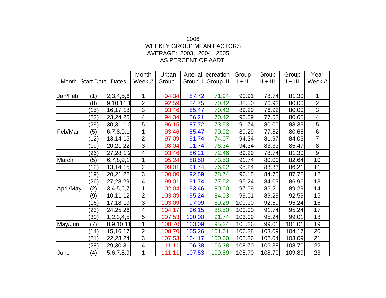### 2006 WEEKLY GROUP MEAN FACTORS AVERAGE: 2003, 2004, 2005 AS PERCENT OF AADT

|           |                    |              | Month                   | Urban   | Arterial | ecreation          | Group  | Group      | Group   | Year                      |
|-----------|--------------------|--------------|-------------------------|---------|----------|--------------------|--------|------------|---------|---------------------------|
| Month     | <b>Start Date</b>  | <b>Dates</b> | Week #                  | Group I |          | Group II Group III | $+$ II | $   +    $ | $+$ III | Week #                    |
|           |                    |              |                         |         |          |                    |        |            |         |                           |
| Jan/Feb   | (1)                | 2,3,4,5,6    | 1                       | 94.34   | 87.72    | 71.94              | 90.91  | 78.74      | 81.30   | 1                         |
|           | (8)                | 9,10,11,1    | $\overline{2}$          | 92.59   | 84.75    | 70.42              | 88.50  | 76.92      | 80.00   | $\overline{2}$            |
|           | (15)               | 16, 17, 18,  | $\mathfrak{S}$          | 93.46   | 85.47    | 70.42              | 89.29  | 76.92      | 80.00   | $\ensuremath{\mathsf{3}}$ |
|           | (22)               | 23,24,25     | $\overline{\mathbf{4}}$ | 94.34   | 86.21    | 70.42              | 90.09  | 77.52      | 80.65   | $\overline{\mathbf{4}}$   |
|           | $\left( 29\right)$ | 30,31,1,2    | 5                       | 96.15   | 87.72    | 73.53              | 91.74  | 80.00      | 83.33   | $\mathbf 5$               |
| Feb/Mar   | (5)                | 6,7,8,9,1    | 1                       | 93.46   | 85.47    | 70.92              | 89.29  | 77.52      | 80.65   | $\overline{6}$            |
|           | (12)               | 13, 14, 15   | $\overline{2}$          | 97.09   | 91.74    | 74.07              | 94.34  | 81.97      | 84.03   | $\overline{7}$            |
|           | (19)               | 20,21,22     | $\overline{3}$          | 98.04   | 91.74    | 76.34              | 94.34  | 83.33      | 85.47   | $\bf 8$                   |
|           | (26)               | 27,28,1,2    | $\overline{\mathbf{4}}$ | 93.46   | 86.21    | 72.46              | 89.29  | 78.74      | 81.30   | $\boldsymbol{9}$          |
| March     | (5)                | 6,7,8,9,1    | 1                       | 95.24   | 88.50    | 73.53              | 91.74  | 80.00      | 82.64   | 10                        |
|           | (12)               | 13, 14, 15   | $\overline{2}$          | 99.01   | 91.74    | 76.92              | 95.24  | 83.33      | 86.21   | 11                        |
|           | (19)               | 20,21,22     | 3                       | 100.00  | 92.59    | 78.74              | 96.15  | 84.75      | 87.72   | 12                        |
|           | (26)               | 27,28,29     | $\overline{\mathbf{4}}$ | 99.01   | 91.74    | 77.52              | 95.24  | 84.03      | 86.96   | 13                        |
| April/May | (2)                | 3,4,5,6,7    | 1                       | 102.04  | 93.46    | 80.00              | 97.09  | 86.21      | 89.29   | 14                        |
|           | (9)                | 10, 11, 12   | $\overline{2}$          | 103.09  | 95.24    | 84.03              | 99.01  | 89.29      | 92.59   | 15                        |
|           | (16)               | 17, 18, 19   | $\overline{3}$          | 103.09  | 97.09    | 89.29              | 100.00 | 92.59      | 95.24   | 16                        |
|           | (23)               | 24,25,26     | $\overline{\mathbf{4}}$ | 104.17  | 96.15    | 88.50              | 100.00 | 91.74      | 95.24   | 17                        |
|           | (30)               | 1,2,3,4,5    | 5                       | 107.53  | 100.00   | 91.74              | 103.09 | 95.24      | 99.01   | 18                        |
| May/Jun   | (7)                | 8,9,10,11    | 1                       | 108.70  | 103.09   | 95.24              | 105.26 | 99.01      | 101.01  | 19                        |
|           | (14)               | 15, 16, 17,  | $\overline{2}$          | 108.70  | 105.26   | 101.01             | 106.38 | 103.09     | 104.17  | 20                        |
|           | (21)               | 22, 23, 24   | 3                       | 107.53  | 104.17   | 100.00             | 105.26 | 102.04     | 103.09  | 21                        |
|           | (28)               | 29,30,31     | 4                       | 111.11  | 106.38   | 106.38             | 108.70 | 106.38     | 108.70  | 22                        |
| June      | (4)                | 5,6,7,8,9    | 1                       | 111.11  | 107.53   | 109.89             | 108.70 | 108.70     | 109.89  | 23                        |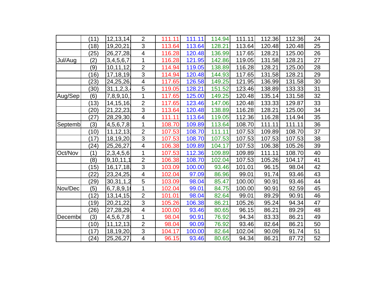|         | (11)            | 12, 13, 14     | $\overline{2}$          | 111.11 | 111.11 | 114.94 | 111.11 | 112.36 | 112.36 | 24 |
|---------|-----------------|----------------|-------------------------|--------|--------|--------|--------|--------|--------|----|
|         | $^{\prime}$ 18) | 19,20,21       | 3                       | 113.64 | 113.64 | 128.21 | 113.64 | 120.48 | 120.48 | 25 |
|         | (25)            | 26,27,28       | $\overline{\mathbf{4}}$ | 116.28 | 120.48 | 136.99 | 117.65 | 128.21 | 125.00 | 26 |
| Jul/Aug | (2)             | 3,4,5,6,7      | 1                       | 116.28 | 121.95 | 142.86 | 119.05 | 131.58 | 128.21 | 27 |
|         | (9)             | 10, 11, 12,    | $\overline{2}$          | 114.94 | 119.05 | 138.89 | 116.28 | 128.21 | 125.00 | 28 |
|         | (16)            | 17,18,19,      | $\overline{3}$          | 114.94 | 120.48 | 144.93 | 117.65 | 131.58 | 128.21 | 29 |
|         | (23)            | 24,25,26       | $\overline{\mathbf{4}}$ | 117.65 | 126.58 | 149.25 | 121.95 | 136.99 | 131.58 | 30 |
|         | (30)            | 31, 1, 2, 3, 4 | 5                       | 119.05 | 128.21 | 151.52 | 123.46 | 138.89 | 133.33 | 31 |
| Aug/Sep | (6)             | 7,8,9,10,      | 1                       | 117.65 | 125.00 | 149.25 | 120.48 | 135.14 | 131.58 | 32 |
|         | (13)            | 14, 15, 16.    | $\overline{2}$          | 117.65 | 123.46 | 147.06 | 120.48 | 133.33 | 129.87 | 33 |
|         | (20)            | 21,22,23       | 3                       | 113.64 | 120.48 | 138.89 | 116.28 | 128.21 | 125.00 | 34 |
|         | (27)            | 28,29,30       | $\overline{\mathbf{4}}$ | 111.11 | 113.64 | 119.05 | 112.36 | 116.28 | 114.94 | 35 |
| Septemb | (3)             | 4,5,6,7,8      | 1                       | 108.70 | 109.89 | 113.64 | 108.70 | 111.11 | 111.11 | 36 |
|         | (10)            | 11, 12, 13,    | $\overline{2}$          | 107.53 | 108.70 | 111.11 | 107.53 | 109.89 | 108.70 | 37 |
|         | (17)            | 18,19,20       | 3                       | 107.53 | 108.70 | 107.53 | 107.53 | 107.53 | 107.53 | 38 |
|         | (24)            | 25,26,27       | $\overline{\mathbf{4}}$ | 106.38 | 109.89 | 104.17 | 107.53 | 106.38 | 105.26 | 39 |
| Oct/Nov | (1)             | 2,3,4,5,6      | 1                       | 107.53 | 112.36 | 109.89 | 109.89 | 111.11 | 108.70 | 40 |
|         | (8)             | 9,10,11,1      | $\overline{2}$          | 106.38 | 108.70 | 102.04 | 107.53 | 105.26 | 104.17 | 41 |
|         | (15)            | 16, 17, 18     | $\overline{3}$          | 103.09 | 100.00 | 93.46  | 101.01 | 96.15  | 98.04  | 42 |
|         | $\overline{22}$ | 23,24,25       | $\overline{\mathbf{4}}$ | 102.04 | 97.09  | 86.96  | 99.01  | 91.74  | 93.46  | 43 |
|         | (29)            | 30, 31, 1, 2   | $\overline{5}$          | 103.09 | 98.04  | 85.47  | 100.00 | 90.91  | 93.46  | 44 |
| Nov/Dec | (5)             | 6,7,8,9,1      | 1                       | 102.04 | 99.01  | 84.75  | 100.00 | 90.91  | 92.59  | 45 |
|         | (12)            | 13, 14, 15     | $\overline{2}$          | 101.01 | 98.04  | 82.64  | 99.01  | 89.29  | 90.91  | 46 |
|         | (19)            | 20,21,22,      | 3                       | 105.26 | 106.38 | 86.21  | 105.26 | 95.24  | 94.34  | 47 |
|         | (26)            | 27,28,29       | $\overline{\mathbf{4}}$ | 100.00 | 93.46  | 80.65  | 96.15  | 86.21  | 89.29  | 48 |
| Decembe | (3)             | 4,5,6,7,8      | 1                       | 98.04  | 90.91  | 76.92  | 94.34  | 83.33  | 86.21  | 49 |
|         | (10)            | 11, 12, 13,    | $\overline{2}$          | 98.04  | 90.09  | 76.92  | 93.46  | 82.64  | 86.21  | 50 |
|         | (17)            | 18,19,20       | 3                       | 104.17 | 100.00 | 82.64  | 102.04 | 90.09  | 91.74  | 51 |
|         | (24)            | 25,26,27       | $\overline{\mathbf{4}}$ | 96.15  | 93.46  | 80.65  | 94.34  | 86.21  | 87.72  | 52 |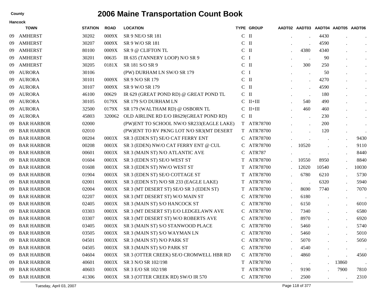|    | <b>Hancock</b>    |                |             |                                          |              |                   |           |                      |                                    |                      |               |
|----|-------------------|----------------|-------------|------------------------------------------|--------------|-------------------|-----------|----------------------|------------------------------------|----------------------|---------------|
|    | <b>TOWN</b>       | <b>STATION</b> | <b>ROAD</b> | <b>LOCATION</b>                          |              | <b>TYPE GROUP</b> |           |                      | AADT02 AADT03 AADT04 AADT05 AADT06 |                      |               |
| 09 | <b>AMHERST</b>    | 30202          | 0009X       | SR 9 NE/O SR 181                         | $C$ II       |                   |           |                      | 4430                               |                      | $\cdot$       |
| 09 | <b>AMHERST</b>    | 30207          | 0009X       | SR 9 W/O SR 181                          | $\mathbf C$  | $\mathbf{H}$      |           | $\bullet$            | 4590                               |                      | $\bullet$     |
| 09 | <b>AMHERST</b>    | 80100          | 0009X       | SR 9 @ CLIFTON TL                        | $C$ II       |                   |           | 4380                 | 4340                               |                      | $\bullet$     |
| 09 | <b>AMHERST</b>    | 30201          | 00635       | IR 635 (TANNERY LOOP) N/O SR 9           | $\mathsf{C}$ | -1                |           | $\ddot{\phantom{0}}$ | 90                                 |                      | $\bullet$     |
| 09 | <b>AMHERST</b>    | 30205          | 0181X       | SR 181 S/O SR 9                          | $C$ II       |                   |           | 300                  | 250                                |                      | $\bullet$     |
| 09 | <b>AURORA</b>     | 30106          |             | (PW) DURHAM LN SW/O SR 179               | $\mathbf C$  | $\mathbf I$       |           | $\bullet$            | 50                                 |                      | $\bullet$     |
| 09 | <b>AURORA</b>     | 30101          | 0009X       | SR 9 N/O SR 179                          | $C$ II       |                   |           | $\bullet$            | 4270                               |                      | $\bullet$     |
| 09 | <b>AURORA</b>     | 30107          | 0009X       | SR 9 W/O SR 179                          | $\mathbf{C}$ | $\mathbf{I}$      |           | $\cdot$              | 4590                               |                      | $\bullet$     |
| 09 | <b>AURORA</b>     | 46100          | 00629       | IR 629 (GREAT POND RD) @ GREAT POND TL   | $C$ II       |                   |           | $\ddot{\phantom{1}}$ | 180                                |                      | $\bullet$     |
| 09 | <b>AURORA</b>     | 30105          | 0179X       | SR 179 S/O DURHAM LN                     | C            | $II+III$          |           | 540                  | 490                                |                      | $\bullet$     |
| 09 | <b>AURORA</b>     | 32500          | 0179X       | SR 179 (WALTHAM RD) @ OSBORN TL          |              | $C$ II+III        |           | 460                  | 460                                |                      | $\bullet$     |
| 09 | <b>AURORA</b>     | 45803          | 320062      | OLD AIRLINE RD E/O IR629(GREAT POND RD)  | $C$ II       |                   |           | $\bullet$            | 230                                |                      | $\bullet$     |
| 09 | <b>BAR HARBOR</b> | 02000          |             | (PW)ENT TO SCHOOL NW/O SR233(EAGLE LAKE) |              | T ATR78700        |           |                      | 200                                |                      | $\bullet$     |
| 09 | <b>BAR HARBOR</b> | 02010          |             | (PW)ENT TO RV PKNG LOT N/O SR3(MT DESERT |              | T ATR78700        |           |                      | 120                                | $\bullet$            |               |
| 09 | <b>BAR HARBOR</b> | 00204          | 0003X       | SR 3 (EDEN ST) SE/O CAT FERRY ENT        | C            | ATR78700          |           |                      |                                    |                      | 9430          |
| 09 | <b>BAR HARBOR</b> | 00208          | 0003X       | SR 3 (EDEN) NW/O CAT FERRY ENT @ CUL     |              | ATR78700          |           | 10520                |                                    | $\cdot$              | 9110          |
| 09 | <b>BAR HARBOR</b> | 00601          | 0003X       | SR 3 (MAIN ST) N/O ATLANTIC AVE          | C            | ATR787            |           |                      |                                    | $\bullet$            | 8440          |
| 09 | <b>BAR HARBOR</b> | 01604          | 0003X       | SR 3 (EDEN ST) SE/O WEST ST              |              | ATR78700          |           | 10550                | 8950                               | $\ddot{\phantom{0}}$ | 8840          |
| 09 | <b>BAR HARBOR</b> | 01608          | 0003X       | SR 3 (EDEN ST) NW/O WEST ST              | T            | ATR78700          |           | 12020                | 10540                              |                      | 10030         |
| 09 | <b>BAR HARBOR</b> | 01904          | 0003X       | SR 3 (EDEN ST) SE/O COTTAGE ST           | T            | ATR78700          |           | 6780                 | 6210                               | $\bullet$            | 5730          |
| 09 | <b>BAR HARBOR</b> | 02001          | 0003X       | SR 3 (EDEN ST) N/O SR 233 (EAGLE LAKE)   | T            | ATR78700          |           |                      | 6320                               | $\ddot{\phantom{a}}$ | 5940          |
| 09 | <b>BAR HARBOR</b> | 02004          | 0003X       | SR 3 (MT DESERT ST) SE/O SR 3 (EDEN ST)  | T.           | ATR78700          |           | 8690                 | 7740                               |                      | 7070          |
| 09 | <b>BAR HARBOR</b> | 02207          | 0003X       | SR 3 (MT DESERT ST) W/O MAIN ST          | C            | ATR78700          |           | 6180                 |                                    | $\bullet$            | $\sim$ $\sim$ |
| 09 | <b>BAR HARBOR</b> | 02405          | 0003X       | SR 3 (MAIN ST) S/O HANCOCK ST            |              | ATR78700          |           | 6150                 |                                    | $\bullet$            | 6010          |
| 09 | <b>BAR HARBOR</b> | 03303          | 0003X       | SR 3 (MT DESERT ST) E/O LEDGELAWN AVE    |              | ATR78700          |           | 7340                 |                                    | $\bullet$            | 6580          |
| 09 | <b>BAR HARBOR</b> | 03307          | 0003X       | SR 3 (MT DESERT ST) W/O ROBERTS AVE      | C            | ATR78700          |           | 8970                 |                                    | $\cdot$              | 6920          |
| 09 | <b>BAR HARBOR</b> | 03405          | 0003X       | SR 3 (MAIN ST) S/O STANWOOD PLACE        |              | ATR78700          |           | 5460                 |                                    | $\cdot$              | 5740          |
| 09 | <b>BAR HARBOR</b> | 03505          | 0003X       | SR 3 (MAIN ST) S/O WAYMAN LN             |              | ATR78700          |           | 5460                 |                                    |                      | 5010          |
| 09 | <b>BAR HARBOR</b> | 04501          |             | 0003X SR 3 (MAIN ST) N/O PARK ST         | $\mathbf C$  | ATR78700          |           | 5070                 |                                    |                      | 5050          |
| 09 | <b>BAR HARBOR</b> | 04505          | 0003X       | SR 3 (MAIN ST) S/O PARK ST               | C            | ATR78700          |           | 4540                 |                                    | $\bullet$            |               |
| 09 | <b>BAR HARBOR</b> | 04604          | 0003X       | SR 3 (OTTER CREEK) SE/O CROMWELL HBR RD  |              | C ATR78700        |           | 4860                 |                                    | $\ddot{\phantom{a}}$ | 4560          |
| 09 | <b>BAR HARBOR</b> | 40601          | 0003X       | SR 3 N/O SR 102/198                      |              | T ATR78700        | $\bullet$ | $\sim$               |                                    | 13860                |               |
| 09 | <b>BAR HARBOR</b> | 40603          | 0003X       | SR 3 E/O SR 102/198                      |              | T ATR78700        |           | 9190                 |                                    | 7900                 | 7810          |
| 09 | <b>BAR HARBOR</b> | 41306          | 0003X       | SR 3 (OTTER CREEK RD) SW/O IR 570        |              | C ATR78700        |           | 2500                 |                                    |                      | 2310          |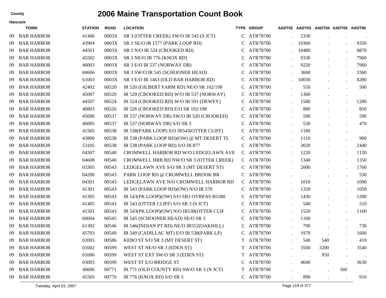| County | <b>2006 Maine Transportation Count Book</b> |  |
|--------|---------------------------------------------|--|
|        |                                             |  |

|     | <b>TOWN</b>       | <b>STATION</b> | <b>ROAD</b> | <b>LOCATION</b>                          |   | <b>TYPE GROUP</b> |       | AADT02 AADT03 AADT04 AADT05 AADT06 |                      |         |
|-----|-------------------|----------------|-------------|------------------------------------------|---|-------------------|-------|------------------------------------|----------------------|---------|
| -09 | <b>BAR HARBOR</b> | 41406          | 0003X       | SR 3 (OTTER CREEK) SW/O IR 543 (S JCT)   | C | ATR78700          | 2330  |                                    |                      |         |
| -09 | <b>BAR HARBOR</b> | 43904          | 0003X       | SR 3 SE/O IR 1577 (PARK LOOP RD)         |   | ATR78700          | 10360 |                                    |                      | 9350    |
| -09 | <b>BAR HARBOR</b> | 44501          | 0003X       | SR 3 N/O IR 524 (CROOKED RD)             | C | ATR78700          | 10480 |                                    | $\cdot$              | 8870    |
| -09 | <b>BAR HARBOR</b> | 45502          | 0003X       | SR 3 NE/O IR 776 (KNOX RD)               |   | ATR78700          | 9330  |                                    | $\cdot$              | 7960    |
| -09 | <b>BAR HARBOR</b> | 46003          | 0003X       | SR 3 E/O IR 537 (NORWAY DR)              | C | ATR78700          | 9220  |                                    | $\cdot$              | 7960    |
| -09 | <b>BAR HARBOR</b> | 60606          | 0003X       | SR 3 SW/O IR 545 (SCHOONER HEAD)         |   | ATR78700          | 3600  |                                    | $\cdot$              | 3360    |
| -09 | <b>BAR HARBOR</b> | 61003          | 0003X       | SR 3 E/O IR 1463 (OLD BAR HARBOR RD)     | C | ATR78700          | 10030 |                                    |                      | 8280    |
| -09 | <b>BAR HARBOR</b> | 42402          | 00520       | IR 520 (GILBERT FARM RD) NE/O SR 102/198 |   | ATR78700          | 550   |                                    |                      | 500     |
| -09 | <b>BAR HARBOR</b> | 45007          | 00520       | IR 520 (CROOKED RD) W/O IR 537 (NORWAY)  | C | ATR78700          | 1360  |                                    | $\bullet$            |         |
| -09 | <b>BAR HARBOR</b> | 44507          | 00524       | IR 524 (CROOKED RD) W/O IR 591 (DEWEY)   |   | ATR78700          | 1580  |                                    | $\cdot$              | 1280    |
| -09 | <b>BAR HARBOR</b> | 40803          | 00526       | IR 526 (CROOKED RD) E/O SR 102/198       | C | ATR78700          | 880   |                                    |                      | 850     |
| -09 | <b>BAR HARBOR</b> | 45006          | 00537       | IR 537 (NORWAY DR) SW/O IR 520 (CROOKED) |   | ATR78700          | 590   |                                    |                      | 590     |
| -09 | <b>BAR HARBOR</b> | 46005          | 00537       | IR 537 (NORWAY DR) S/O SR 3              | C | ATR78700          | 530   |                                    |                      | 470     |
| -09 | <b>BAR HARBOR</b> | 41505          | 00538       | IR 538(PARK LOOP) S/O IR543(OTTER CLIFF) |   | ATR78700          | 1180  |                                    | $\bullet$            | $\cdot$ |
| -09 | <b>BAR HARBOR</b> | 43800          | 00538       | IR 538 (PARK LOOP RD)(OW) @ MT DESERT TL | C | ATR78700          | 1110  |                                    |                      | 900     |
| -09 | <b>BAR HARBOR</b> | 53105          | 00538       | IR 538 (PARK LOOP RD) S/O IR 877         |   | ATR78700          | 3020  |                                    |                      | 2440    |
| -09 | <b>BAR HARBOR</b> | 04307          | 00540       | CROMWELL HARBOR RD W/O LEDGELAWN AVE     |   | C ATR78700        | 1220  |                                    |                      | 1120    |
| -09 | <b>BAR HARBOR</b> | 04608          | 00540       | CROMWELL HRB RD NW/O SR 3 (OTTER CREEK)  |   | C ATR78700        | 1340  |                                    | $\cdot$              | 1350    |
| -09 | <b>BAR HARBOR</b> | 03305          | 00543       | LEDGELAWN AVE S/O SR 3 (MT DESERT ST)    | C | ATR78700          | 2000  |                                    |                      | 1760    |
| -09 | <b>BAR HARBOR</b> | 04200          | 00543       | PARK LOOP RD @ CROMWELL BROOK BR         |   | ATR78700          |       |                                    | $\cdot$              | 530     |
| -09 | <b>BAR HARBOR</b> | 04301          | 00543       | LEDGELAWN AVE N/O CROMWELL HARBOR RD     |   | C ATR78700        | 1010  |                                    | $\ddot{\phantom{a}}$ | 1090    |
| -09 | <b>BAR HARBOR</b> | 41301          | 00543       | IR 543 (PARK LOOP RD)(OW) N/O IR 570     |   | ATR78700          | 1320  |                                    | $\cdot$              | 1050    |
| -09 | <b>BAR HARBOR</b> | 41305          | 00543       | IR 543(PK LOOP)(OW) S/O SR3 OVRPAS B5380 | C | ATR78700          | 1430  |                                    | $\bullet$            | 1200    |
| -09 | <b>BAR HARBOR</b> | 41405          | 00543       | IR 543 (OTTER CLIFF) S/O SR 3 (S JCT)    |   | ATR78700          | 540   |                                    |                      | 510     |
| -09 | <b>BAR HARBOR</b> | 41501          | 00543       | IR 543(PK LOOP)(OW) N/O IR538(OTTER CLIF | C | ATR78700          | 1520  |                                    |                      | 1160    |
| -09 | <b>BAR HARBOR</b> | 60604          | 00545       | IR 545 (SCHOONER HEAD) SE/O SR 3         |   | ATR78700          | 1100  |                                    | $\cdot$              |         |
| -09 | <b>BAR HARBOR</b> | 61302          | 00546       | IR 546(INDIAN PT RD) NE/O IR552(OAKHILL) |   | ATR78700          | 790   |                                    |                      | 730     |
| 09  | <b>BAR HARBOR</b> | 45703          | 00549       | IR 549 (CADILLAC MT) E/O IR 538(PARK LP) |   | ATR78700          | 1970  |                                    |                      | 1600    |
| -09 | <b>BAR HARBOR</b> | 02005          | 00586       | KEBO ST S/O SR 3 (MT DESERT ST)          | T | ATR78700          | 540   | 540                                |                      | 410     |
| -09 | <b>BAR HARBOR</b> | 01602          | 00599       | WEST ST NE/O SR 3 (EDEN ST)              |   | T ATR78700        | 3560  | 3200                               |                      | 3540    |
| -09 | <b>BAR HARBOR</b> | 01606          | 00599       | WEST ST EXT SW/O SR 3 (EDEN ST)          |   | T ATR78700        |       | 950                                | $\cdot$              |         |
| -09 | <b>BAR HARBOR</b> | 03003          | 00599       | WEST ST E/O BRIDGE ST                    |   | C ATR78700        | 4040  | $\ddot{\phantom{0}}$               |                      | 3630    |
| -09 | <b>BAR HARBOR</b> | 40606          | 00771       | IR 771 (OLD COUNTY RD) SW/O SR 3 (N JCT) |   | T ATR78700        |       |                                    | 560                  |         |
| 09  | <b>BAR HARBOR</b> | 45505          | 00776       | IR 776 (KNOX RD) S/O SR 3                |   | C ATR78700        | 890   |                                    |                      | 910     |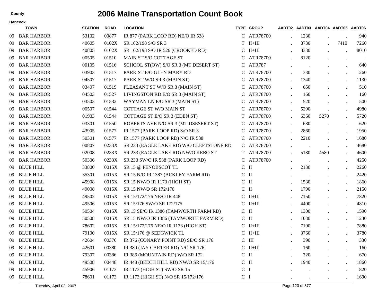|     | <b>TOWN</b>       | <b>STATION</b> | <b>ROAD</b> | <b>LOCATION</b>                          |                | <b>TYPE GROUP</b> |                      | AADT02 AADT03 AADT04 AADT05 AADT06 |                      |      |
|-----|-------------------|----------------|-------------|------------------------------------------|----------------|-------------------|----------------------|------------------------------------|----------------------|------|
| -09 | <b>BAR HARBOR</b> | 53102          | 00877       | IR 877 (PARK LOOP RD) NE/O IR 538        |                | C ATR78700        | 1230                 |                                    |                      | 940  |
| 09  | <b>BAR HARBOR</b> | 40605          | 0102X       | SR 102/198 S/O SR 3                      | T.             | $II+III$          | 8730                 |                                    | 7410                 | 7260 |
| 09  | <b>BAR HARBOR</b> | 40805          | 0102X       | SR 102/198 S/O IR 526 (CROOKED RD)       |                | $C$ II+III        | 8330                 |                                    | $\ddot{\phantom{a}}$ | 8010 |
| 09  | <b>BAR HARBOR</b> | 00505          | 01510       | MAIN ST S/O COTTAGE ST                   | C              | ATR78700          | 8120                 |                                    | $\ddot{\phantom{a}}$ |      |
| 09  | <b>BAR HARBOR</b> | 00105          | 01516       | SCHOOL ST(OW) S/O SR 3 (MT DESERT ST)    |                | C ATR787          |                      |                                    |                      | 640  |
| 09  | <b>BAR HARBOR</b> | 03903          | 01517       | PARK ST E/O GLEN MARY RD                 | C              | ATR78700          | 330                  |                                    |                      | 260  |
| 09  | <b>BAR HARBOR</b> | 04507          | 01517       | PARK ST W/O SR 3 (MAIN ST)               | C              | ATR78700          | 1340                 |                                    | $\ddot{\phantom{a}}$ | 1130 |
| 09  | <b>BAR HARBOR</b> | 03407          | 01519       | PLEASANT ST W/O SR 3 (MAIN ST)           | C              | ATR78700          | 650                  |                                    | $\ddot{\phantom{a}}$ | 510  |
| 09  | <b>BAR HARBOR</b> | 04503          | 01527       | LIVINGSTON RD E/O SR 3 (MAIN ST)         | C              | ATR78700          | 160                  |                                    | $\ddot{\phantom{a}}$ | 160  |
| 09  | <b>BAR HARBOR</b> | 03503          | 01532       | WAYMAN LN E/O SR 3 (MAIN ST)             | C              | ATR78700          | 520                  | $\bullet$                          | $\ddot{\phantom{a}}$ | 500  |
| 09  | <b>BAR HARBOR</b> | 00507          | 01544       | <b>COTTAGE ST W/O MAIN ST</b>            | C              | ATR78700          | 5290                 |                                    | $\ddot{\phantom{a}}$ | 4980 |
| 09  | <b>BAR HARBOR</b> | 01903          | 01544       | COTTAGE ST E/O SR 3 (EDEN ST)            | T              | ATR78700          | 6360                 | 5270                               |                      | 5720 |
| 09  | <b>BAR HARBOR</b> | 03301          | 01550       | ROBERTS AVE N/O SR 3 (MT DSESERT ST)     | C              | ATR78700          | 680                  | $\cdot$                            |                      | 620  |
| 09  | <b>BAR HARBOR</b> | 43905          | 01577       | IR 1577 (PARK LOOP RD) S/O SR 3          | C              | ATR78700          | 2860                 |                                    | $\ddot{\phantom{a}}$ | 1950 |
| 09  | <b>BAR HARBOR</b> | 50301          | 01577       | IR 1577 (PARK LOOP RD) N/O IR 538        |                | C ATR78700        | 2210                 |                                    | $\ddot{\phantom{a}}$ | 1680 |
| 09  | <b>BAR HARBOR</b> | 00807          | 0233X       | SR 233 (EAGLE LAKE RD) W/O CLEFTSTONE RD |                | C ATR78700        |                      |                                    |                      | 4680 |
| 09  | <b>BAR HARBOR</b> | 02008          | 0233X       | SR 233 (EAGLE LAKE RD) NW/O KEBO ST      |                | T ATR78700        | 5180                 | 4580                               | $\ddot{\phantom{a}}$ | 4600 |
| 09  | <b>BAR HARBOR</b> | 50306          | 0233X       | SR 233 SW/O IR 538 (PARK LOOP RD)        |                | C ATR78700        | $\ddot{\phantom{a}}$ | $\ddot{\phantom{0}}$               |                      | 4250 |
| 09  | <b>BLUE HILL</b>  | 33800          | 0015X       | SR 15 @ PENOBSCOT TL                     | $C$ II         |                   | 2130                 | $\ddot{\phantom{a}}$               |                      | 2260 |
| 09  | <b>BLUE HILL</b>  | 35301          | 0015X       | SR 15 N/O IR 1387 (ACKLEY FARM RD)       | $C$ II         |                   |                      | $\cdot$                            |                      | 2420 |
| 09  | <b>BLUE HILL</b>  | 45908          | 0015X       | SR 15 NW/O IR 1173 (HIGH ST)             | $C$ II         |                   | 1530                 |                                    | $\ddot{\phantom{a}}$ | 1860 |
| 09  | <b>BLUE HILL</b>  | 49008          | 0015X       | SR 15 NW/O SR 172/176                    | $C$ II         |                   | 1790                 |                                    | $\ddot{\phantom{a}}$ | 2150 |
| 09  | <b>BLUE HILL</b>  | 49502          | 0015X       | SR 15/172/176 NE/O IR 448                |                | $C$ II+III        | 7150                 |                                    | $\ddot{\phantom{0}}$ | 7820 |
| 09  | <b>BLUE HILL</b>  | 49506          | 0015X       | SR 15/176 SW/O SR 172/175                |                | $C$ II+III        | 4400                 | $\ddot{\phantom{a}}$               | $\ddot{\phantom{a}}$ | 4810 |
| 09  | <b>BLUE HILL</b>  | 50504          | 0015X       | SR 15 SE/O IR 1386 (TAMWORTH FARM RD)    | $C$ II         |                   | 1300                 |                                    | $\ddot{\phantom{a}}$ | 1590 |
| 09  | <b>BLUE HILL</b>  | 50508          | 0015X       | SR 15 NW/O IR 1386 (TAMWORTH FARM RD)    | $C$ II         |                   | 1030                 | $\ddot{\phantom{a}}$               | $\ddot{\phantom{0}}$ | 1230 |
| 09  | <b>BLUE HILL</b>  | 78602          | 0015X       | SR 15/172/176 NE/O IR 1173 (HIGH ST)     |                | $C$ II+III        | 7190                 |                                    | $\ddot{\phantom{0}}$ | 7880 |
| 09  | <b>BLUE HILL</b>  | 79100          | 0015X       | SR 15/176 @ SEDGWICK TL                  | $\mathcal{C}$  | $II+III$          | 3760                 |                                    | $\ddot{\phantom{a}}$ | 3780 |
| -09 | <b>BLUE HILL</b>  | 42604          | 00376       | IR 376 (CONARY POINT RD) SE/O SR 176     |                | $C$ III           | 390                  |                                    | $\ddot{\phantom{a}}$ | 330  |
| 09  | <b>BLUE HILL</b>  | 42601          | 00380       | IR 380 (JAY CARTER RD) N/O SR 176        |                | $C$ II+III        | 160                  |                                    | $\ddot{\phantom{a}}$ | 160  |
| 09  | <b>BLUE HILL</b>  | 79307          | 00386       | IR 386 (MOUNTAIN RD) W/O SR 172          | $C$ II         |                   | 720                  | $\ddot{\phantom{a}}$               | $\Box$               | 670  |
| 09  | <b>BLUE HILL</b>  | 49508          | 00448       | IR 448 (BEECH HILL RD) NW/O SR 15/176    | $C$ II         |                   | 1940                 |                                    | $\cdot$              | 1860 |
| 09  | <b>BLUE HILL</b>  | 45906          | 01173       | IR 1173 (HIGH ST) SW/O SR 15             | $C$ I          |                   |                      |                                    |                      | 820  |
| 09  | <b>BLUE HILL</b>  | 78601          | 01173       | IR 1173 (HIGH ST) N/O SR 15/172/176      | C <sub>1</sub> |                   |                      |                                    |                      | 1690 |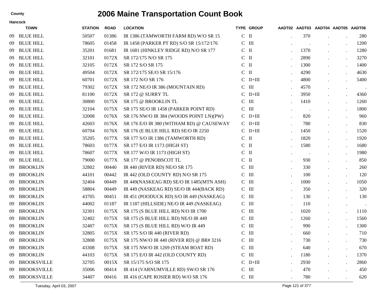| <b>TOWN</b>        | <b>STATION</b> | <b>ROAD</b> | <b>LOCATION</b>                          |                                                                  |                                                                                                                                                                                                                                                                                                                                                                                                                                                                                                      |         |                      |                      |                                    |
|--------------------|----------------|-------------|------------------------------------------|------------------------------------------------------------------|------------------------------------------------------------------------------------------------------------------------------------------------------------------------------------------------------------------------------------------------------------------------------------------------------------------------------------------------------------------------------------------------------------------------------------------------------------------------------------------------------|---------|----------------------|----------------------|------------------------------------|
| <b>BLUE HILL</b>   | 50507          | 01386       | IR 1386 (TAMWORTH FARM RD) W/O SR 15     |                                                                  |                                                                                                                                                                                                                                                                                                                                                                                                                                                                                                      | 370     |                      |                      | 280                                |
| <b>BLUE HILL</b>   | 78605          | 01458       | IR 1458 (PARKER PT RD) S/O SR 15/172/176 |                                                                  |                                                                                                                                                                                                                                                                                                                                                                                                                                                                                                      |         |                      |                      | 1200                               |
| <b>BLUE HILL</b>   | 35201          | 01681       | IR 1681 (HINKLEY RIDGE RD) N/O SR 177    |                                                                  |                                                                                                                                                                                                                                                                                                                                                                                                                                                                                                      | 1370    |                      |                      | 1280                               |
| <b>BLUE HILL</b>   | 32101          | 0172X       | SR 172/175 N/O SR 175                    | $\mathsf{C}$                                                     |                                                                                                                                                                                                                                                                                                                                                                                                                                                                                                      | 2890    | $\ddot{\phantom{a}}$ |                      | 3270                               |
| <b>BLUE HILL</b>   | 32105          | 0172X       | SR 172 S/O SR 175                        |                                                                  |                                                                                                                                                                                                                                                                                                                                                                                                                                                                                                      | 1300    |                      | $\bullet$            | 1400                               |
| <b>BLUE HILL</b>   | 49504          | 0172X       | SR 172/175 SE/O SR 15/176                | $\mathsf{C}$                                                     |                                                                                                                                                                                                                                                                                                                                                                                                                                                                                                      | 4290    | $\cdot$              |                      | 4630                               |
| <b>BLUE HILL</b>   | 60701          | 0172X       | SR 172 N/O SR 176                        |                                                                  |                                                                                                                                                                                                                                                                                                                                                                                                                                                                                                      | 4800    |                      |                      | 5400                               |
| <b>BLUE HILL</b>   | 79302          | 0172X       | SR 172 NE/O IR 386 (MOUNTAIN RD)         |                                                                  |                                                                                                                                                                                                                                                                                                                                                                                                                                                                                                      | 4570    | $\bullet$            | $\ddot{\phantom{0}}$ | $\sim$                             |
| <b>BLUE HILL</b>   | 81100          | 0172X       | SR 172 @ SURRY TL                        |                                                                  |                                                                                                                                                                                                                                                                                                                                                                                                                                                                                                      | 3950    |                      |                      | 4360                               |
| <b>BLUE HILL</b>   | 30800          | 0175X       | SR 175 @ BROOKLIN TL                     | C                                                                |                                                                                                                                                                                                                                                                                                                                                                                                                                                                                                      | 1410    |                      |                      | 1260                               |
| <b>BLUE HILL</b>   | 32104          | 0175X       | SR 175 SE/O IR 1458 (PARKER POINT RD)    | C                                                                |                                                                                                                                                                                                                                                                                                                                                                                                                                                                                                      | $\cdot$ |                      |                      | 1800                               |
| <b>BLUE HILL</b>   | 32008          | 0176X       | SR 176 NW/O IR 384 (WOODS POINT LN)(PW)  |                                                                  |                                                                                                                                                                                                                                                                                                                                                                                                                                                                                                      | 820     |                      |                      | 960                                |
| <b>BLUE HILL</b>   | 42603          | 0176X       | SR 176 E/O IR 380 (WITHAM RD) @ CAUSEWAY |                                                                  |                                                                                                                                                                                                                                                                                                                                                                                                                                                                                                      | 780     |                      | $\bullet$            | 830                                |
| <b>BLUE HILL</b>   | 60704          | 0176X       | SR 176 (E BLUE HILL RD) SE/O IR 2250     |                                                                  |                                                                                                                                                                                                                                                                                                                                                                                                                                                                                                      | 1450    | $\bullet$            | $\bullet$            | 1520                               |
| <b>BLUE HILL</b>   | 35205          | 0177X       | SR 177 S/O IR 1386 (TAMWORTH RD)         |                                                                  |                                                                                                                                                                                                                                                                                                                                                                                                                                                                                                      | 1820    |                      | $\bullet$            | 1920                               |
| <b>BLUE HILL</b>   | 78603          | 0177X       | SR 177 E/O IR 1173 (HIGH ST)             |                                                                  |                                                                                                                                                                                                                                                                                                                                                                                                                                                                                                      | 1580    | $\ddot{\phantom{a}}$ | $\cdot$              | 1680                               |
| <b>BLUE HILL</b>   | 78607          | 0177X       | SR 177 W/O IR 1173 (HIGH ST)             |                                                                  |                                                                                                                                                                                                                                                                                                                                                                                                                                                                                                      |         |                      |                      | 1980                               |
| <b>BLUE HILL</b>   | 79000          | 0177X       | SR 177 @ PENOBSCOT TL                    | C                                                                |                                                                                                                                                                                                                                                                                                                                                                                                                                                                                                      | 930     | $\cdot$              |                      | 850                                |
| <b>BROOKLIN</b>    | 32802          | 00440       | IR 440 (RIVER RD) NE/O SR 175            | C                                                                |                                                                                                                                                                                                                                                                                                                                                                                                                                                                                                      | 330     |                      | $\bullet$            | 260                                |
| <b>BROOKLIN</b>    | 44101          | 00442       | IR 442 (OLD COUNTY RD) N/O SR 175        | C                                                                |                                                                                                                                                                                                                                                                                                                                                                                                                                                                                                      | 100     | $\cdot$              | $\bullet$            | 120                                |
| <b>BROOKLIN</b>    | 32404          | 00449       | IR 449(NASKEAG RD) SE/O IR 1485(MTN ASH) |                                                                  |                                                                                                                                                                                                                                                                                                                                                                                                                                                                                                      | 1000    |                      | $\bullet$            | 1050                               |
| <b>BROOKLIN</b>    | 58804          | 00449       | IR 449 (NASKEAG RD) SE/O IR 444(BACK RD) |                                                                  |                                                                                                                                                                                                                                                                                                                                                                                                                                                                                                      | 350     | $\cdot$              | $\cdot$              | 320                                |
| <b>BROOKLIN</b>    | 43705          | 00451       | IR 451 (POODUCK RD) S/O IR 449 (NASKEAG) |                                                                  |                                                                                                                                                                                                                                                                                                                                                                                                                                                                                                      | 130     |                      |                      | 130                                |
| <b>BROOKLIN</b>    | 44002          | 01187       | IR 1187 (HILLSIDE) NE/O IR 449 (NASKEAG) | $\mathsf{C}$                                                     |                                                                                                                                                                                                                                                                                                                                                                                                                                                                                                      | 110     | $\bullet$            | $\bullet$            | $\sim$                             |
| <b>BROOKLIN</b>    | 32301          | 0175X       | SR 175 (S BLUE HILL RD) N/O IR 1700      | C                                                                |                                                                                                                                                                                                                                                                                                                                                                                                                                                                                                      | 1020    |                      | $\bullet$            | 1110                               |
| <b>BROOKLIN</b>    | 32402          | 0175X       | SR 175 (S BLUE HILL RD) NE/O IR 449      | C                                                                |                                                                                                                                                                                                                                                                                                                                                                                                                                                                                                      | 1260    | $\cdot$              | $\bullet$            | 1560                               |
| <b>BROOKLIN</b>    | 32407          | 0175X       | SR 175 (S BLUE HILL RD) W/O IR 449       | C                                                                |                                                                                                                                                                                                                                                                                                                                                                                                                                                                                                      | 990     |                      | $\bullet$            | 1300                               |
| <b>BROOKLIN</b>    | 32805          | 0175X       | SR 175 S/O IR 440 (RIVER RD)             | C                                                                |                                                                                                                                                                                                                                                                                                                                                                                                                                                                                                      | 660     |                      |                      | 710                                |
|                    | 32808          |             |                                          |                                                                  |                                                                                                                                                                                                                                                                                                                                                                                                                                                                                                      | 730     |                      |                      | 730                                |
| <b>BROOKLIN</b>    | 43308          | 0175X       | SR 175 NW/O IR 1269 (STEAM BOAT RD)      | $\mathsf{C}$                                                     |                                                                                                                                                                                                                                                                                                                                                                                                                                                                                                      | 640     |                      |                      | 670                                |
| <b>BROOKLIN</b>    | 44103          | 0175X       | SR 175 E/O IR 442 (OLD COUNTY RD)        |                                                                  |                                                                                                                                                                                                                                                                                                                                                                                                                                                                                                      | 1180    | $\cdot$              | $\Box$               | 1370                               |
| <b>BROOKSVILLE</b> | 32705          | 0015X       | SR 15/175 S/O SR 175                     |                                                                  |                                                                                                                                                                                                                                                                                                                                                                                                                                                                                                      | 2930    | $\bullet$            | $\bullet$            | 2860                               |
| <b>BROOKSVILLE</b> | 35006          | 00414       | IR 414 (VARNUMVILLE RD) SW/O SR 176      |                                                                  |                                                                                                                                                                                                                                                                                                                                                                                                                                                                                                      | 470     | $\cdot$              | $\cdot$              | 450                                |
| <b>BROOKSVILLE</b> | 34407          | 00416       | IR 416 (CAPE ROSIER RD) W/O SR 176       |                                                                  |                                                                                                                                                                                                                                                                                                                                                                                                                                                                                                      | 780     | $\cdot$              |                      | 620                                |
|                    | 09 BROOKLIN    |             |                                          | <b>Hancock</b><br>0175X SR 175 NW/O IR 440 (RIVER RD) @ BR# 3216 | <b>TYPE GROUP</b><br>$C$ II<br>$C$ III<br>$C$ II<br>$\mathbf{I}$<br>$C$ II<br>$\mathbf{I}$<br>$C$ II+III<br>$C$ III<br>$C$ II+III<br>$\mathbf{III}$<br>$\mathbf{m}$<br>$C$ II+III<br>$C$ II+III<br>$C$ II+III<br>$C$ II<br>$C$ II<br>$C$ II<br>$\mathbf{I}$<br>$\mathbf{III}$<br>$\mathbf{m}$<br>$C$ III<br>$C$ III<br>$C$ III<br>$\mathop{\rm III}$<br>$\mathbf{H}$<br>$\mathbf{m}$<br>$\mathbf{H}$<br>$\mathop{\rm III}$<br>$C$ III<br>$\mathbf{I}$<br>$C$ III<br>$C$ II+III<br>$C$ III<br>$C$ III |         |                      |                      | AADT02 AADT03 AADT04 AADT05 AADT06 |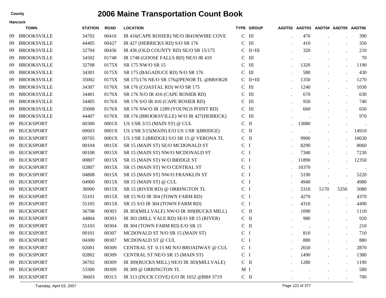|     | Hancock            |                |             |                                           |                |                   |                                    |                      |      |        |
|-----|--------------------|----------------|-------------|-------------------------------------------|----------------|-------------------|------------------------------------|----------------------|------|--------|
|     | <b>TOWN</b>        | <b>STATION</b> | <b>ROAD</b> | <b>LOCATION</b>                           |                | <b>TYPE GROUP</b> | AADT02 AADT03 AADT04 AADT05 AADT06 |                      |      |        |
| -09 | <b>BROOKSVILLE</b> | 34702          | 00416       | IR 416(CAPE ROSIER) NE/O IR419(WIRE COVE  |                | $C$ III           | 470                                |                      |      | 390    |
| -09 | <b>BROOKSVILLE</b> | 44405          | 00427       | IR 427 (HERRICKS RD) S/O SR 176           |                | $C$ III           | 410                                |                      |      | 350    |
| 09  | <b>BROOKSVILLE</b> | 32704          | 00436       | IR 436 (OLD COUNTY RD) SE/O SR 15/175     |                | $C$ II+III        | 320                                |                      |      | 210    |
| -09 | <b>BROOKSVILLE</b> | 34502          | 01748       | IR 1748 (GOOSE FALLS RD) NE/O IR 419      |                | $C$ III           | $\,$ .                             |                      |      | 70     |
| 09  | <b>BROOKSVILLE</b> | 32708          | 0175X       | SR 175 NW/O SR 15                         |                | $C$ III           | 1320                               |                      |      | 1190   |
| 09  | <b>BROOKSVILLE</b> | 34301          | 0175X       | SR 175 (BAGADUCE RD) N/O SR 176           |                | $C$ III           | 580                                | $\ddot{\phantom{0}}$ |      | 430    |
| 09  | <b>BROOKSVILLE</b> | 35002          | 0175X       | SR 175/176 NE/O SR 176@PENOB TL @BR#3628  |                | $C$ II+III        | 1350                               |                      |      | 1270   |
| -09 | <b>BROOKSVILLE</b> | 34307          | 0176X       | SR 176 (COASTAL RD) W/O SR 175            |                | $C$ III           | 1240                               | $\ddot{\phantom{0}}$ |      | 1030   |
| 09  | <b>BROOKSVILLE</b> | 34401          | 0176X       | SR 176 N/O IR 416 (CAPE ROSIER RD)        |                | $C$ III           | 670                                |                      |      | 630    |
| 09  | <b>BROOKSVILLE</b> | 34405          | 0176X       | SR 176 S/O IR 416 (CAPE ROSIER RD)        |                | $C$ III           | 950                                | $\ddot{\phantom{0}}$ |      | 740    |
| 09  | <b>BROOKSVILLE</b> | 35008          | 0176X       | SR 176 NW/O IR 1289 (YOUNGS POINT RD)     |                | $C$ III           | 660                                |                      |      | 650    |
| -09 | <b>BROOKSVILLE</b> | 44407          | 0176X       | SR 176 (BROOKSVILLE) W/O IR 427 (HERRICK) |                | $C$ III           |                                    |                      |      | 970    |
| 09  | <b>BUCKSPORT</b>   | 00300          | 0001X       | US 1/SR 3/15 (MAIN ST) @ CUL              |                | $C$ II            | 13080                              |                      |      |        |
| 09  | <b>BUCKSPORT</b>   | 00603          | 0001X       | US 1/SR 3/15(MAIN) E/O US 1/SR 3(BRIDGE)  |                | $C$ II            | $\bullet$                          | $\bullet$            |      | 14910  |
| 09  | <b>BUCKSPORT</b>   | 00705          | 0001X       | US 1/SR 3 (BRIDGE) S/O SR 15 @ VERONA TL  |                | $C$ II            | 9900                               | $\ddot{\phantom{0}}$ |      | 10630  |
| 09  | <b>BUCKSPORT</b>   | 00104          | 0015X       | SR 15 (MAIN ST) SE/O MCDONALD ST          | C <sub>1</sub> |                   | 8290                               | $\ddot{\phantom{0}}$ |      | 8060   |
| 09  | <b>BUCKSPORT</b>   | 00108          | 0015X       | SR 15 (MAIN ST) NW/O MCDONALD ST          | C <sub>I</sub> |                   | 7340                               |                      |      | 7230   |
| 09  | <b>BUCKSPORT</b>   | 00807          | 0015X       | SR 15 (MAIN ST) W/O BRIDGE ST             | C <sub>I</sub> |                   | 11890                              | $\bullet$            |      | 12350  |
| 09  | <b>BUCKSPORT</b>   | 02807          | 0015X       | SR 15 (MAIN ST) W/O CENTRAL ST            | C <sub>I</sub> |                   | 10370                              |                      |      | $\sim$ |
| 09  | <b>BUCKSPORT</b>   | 04808          | 0015X       | SR 15 (MAIN ST) NW/O FRANKLIN ST          | C <sub>I</sub> |                   | 5190                               |                      |      | 5220   |
| 09  | <b>BUCKSPORT</b>   | 04900          | 0015X       | SR 15 (MAIN ST) @ CUL                     | C <sub>1</sub> |                   | 4940                               |                      |      | 4980   |
| 09  | <b>BUCKSPORT</b>   | 36900          | 0015X       | SR 15 (RIVER RD) @ ORRINGTON TL           | C <sub>I</sub> |                   | 5310                               | 5170                 | 5350 | 5080   |
| 09  | <b>BUCKSPORT</b>   | 55101          | 0015X       | SR 15 N/O IR 304 (TOWN FARM RD)           | C <sub>I</sub> |                   | 4270                               |                      |      | 4370   |
| 09  | <b>BUCKSPORT</b>   | 55105          | 0015X       | SR 15 S/O IR 304 (TOWN FARM RD)           | C <sub>1</sub> |                   | 4310                               |                      |      | 4490   |
| 09  | <b>BUCKSPORT</b>   | 36708          | 00303       | IR 303(MILLVALE) NW/O IR 309(BUCKS MILL)  |                | $C$ II            | 1090                               |                      |      | 1110   |
| 09  | <b>BUCKSPORT</b>   | 44804          | 00303       | IR 303 (MILL VALE RD) SE/O SR 15 (RIVER)  |                | $C$ II            | 980                                | $\ddot{\phantom{0}}$ |      | 920    |
| 09  | <b>BUCKSPORT</b>   | 55103          | 00304       | IR 304 (TOWN FARM RD) E/O SR 15           |                | $C$ II            | $\blacksquare$ .                   |                      |      | 210    |
| 09  | <b>BUCKSPORT</b>   | 00101          | 00307       | MCDONALD ST N/O SR 15 (MAIN ST)           | C <sub>1</sub> |                   | 810                                |                      |      | 710    |
|     | 09 BUCKSPORT       | 04300          | 00307       | MCDONALD ST @ CUL                         | C I            |                   | 880                                |                      |      | 880    |
| -09 | <b>BUCKSPORT</b>   | 02001          | 00309       | CENTRAL ST 0.15 MI N/O BROADWAY @ CUL     | C <sub>I</sub> |                   | 2650                               |                      |      | 2870   |
| 09  | <b>BUCKSPORT</b>   | 02802          | 00309       | CENTRAL ST NE/O SR 15 (MAIN ST)           | $C$ I          |                   | 1490                               |                      |      | 1380   |
| 09  | <b>BUCKSPORT</b>   | 36702          | 00309       | IR 309(BUCKS MILL) NE/O IR 303(MILLVALE)  |                | $C$ II            | 1280                               |                      |      | 1190   |
| -09 | <b>BUCKSPORT</b>   | 53300          | 00309       | IR 309 @ ORRINGTON TL                     | M <sub>I</sub> |                   | $\sim 100$                         | $\bullet$            |      | 580    |
| 09  | <b>BUCKSPORT</b>   | 36603          | 00313       | IR 313 (DUCK COVE) E/O IR 1652 @BR# 3719  |                | $C$ $\;$ II       |                                    |                      |      | 700    |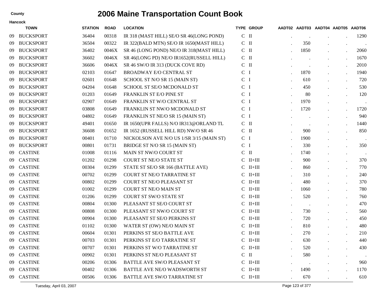|    | Hancock          |                |             |                                          |                |                     |               |           |                                    |                  |
|----|------------------|----------------|-------------|------------------------------------------|----------------|---------------------|---------------|-----------|------------------------------------|------------------|
|    | <b>TOWN</b>      | <b>STATION</b> | <b>ROAD</b> | <b>LOCATION</b>                          |                | <b>TYPE GROUP</b>   |               |           | AADT02 AADT03 AADT04 AADT05 AADT06 |                  |
| 09 | <b>BUCKSPORT</b> | 36404          | 00318       | IR 318 (MAST HILL) SE/O SR 46(LONG POND) | $C$ II         |                     |               |           |                                    | 1290             |
| 09 | <b>BUCKSPORT</b> | 36504          | 00322       | IR 322(BALD MTN) SE/O IR 1650(MAST HILL) | $\mathsf{C}$   | $\mathbf{H}$        | 350           |           | $\bullet$                          |                  |
| 09 | <b>BUCKSPORT</b> | 36402          | 0046X       | SR 46 (LONG POND) NE/O IR 318(MAST HILL) | $C$ II         |                     | 1850          |           |                                    | 2060             |
| 09 | <b>BUCKSPORT</b> | 36602          | 0046X       | SR 46(LONG PD) NE/O IR1652(RUSSELL HILL) | $\mathsf{C}$   | $\mathbf{I}$        |               |           | $\bullet$                          | 1670             |
| 09 | <b>BUCKSPORT</b> | 36606          | 0046X       | SR 46 SW/O IR 313 (DUCK COVE RD)         | $\mathsf{C}$   | $\mathbf{I}$        |               |           | $\cdot$                            | 2010             |
| 09 | <b>BUCKSPORT</b> | 02103          | 01647       | <b>BROADWAY E/O CENTRAL ST</b>           | $\mathbf C$    | $\bf I$             | 1870          |           | $\bullet$                          | 1940             |
| 09 | <b>BUCKSPORT</b> | 02601          | 01648       | SCHOOL ST N/O SR 15 (MAIN ST)            | C <sub>I</sub> |                     | 610           |           | $\cdot$                            | 720              |
| 09 | <b>BUCKSPORT</b> | 04204          | 01648       | SCHOOL ST SE/O MCDONALD ST               | $\mathbf C$    | -1                  | 450           |           | $\ddot{\phantom{a}}$               | 530              |
| 09 | <b>BUCKSPORT</b> | 01203          | 01649       | FRANKLIN ST E/O PINE ST                  | C <sub>1</sub> |                     | 80            |           | $\bullet$                          | 120              |
| 09 | <b>BUCKSPORT</b> | 02907          | 01649       | FRANKLIN ST W/O CENTRAL ST               | $\mathsf{C}$   | Ι                   | 1970          |           | $\bullet$                          |                  |
| 09 | <b>BUCKSPORT</b> | 03808          | 01649       | FRANKLIN ST NW/O MCDONALD ST             | C <sub>1</sub> |                     | 1720          |           | $\ddot{\phantom{0}}$               | 1720             |
| 09 | <b>BUCKSPORT</b> | 04802          | 01649       | FRANKLIN ST NE/O SR 15 (MAIN ST)         | $\mathsf{C}$   | -1                  |               |           |                                    | 940              |
| 09 | <b>BUCKSPORT</b> | 49401          | 01650       | IR 1650(UPR FALLS) N/O IR313@ORLAND TL   | $C$ II         |                     |               |           | $\bullet$                          | 1440             |
| 09 | <b>BUCKSPORT</b> | 36608          | 01652       | IR 1652 (RUSSELL HILL RD) NW/O SR 46     | $\mathbf C$    | $\mathbf{I}$        | 900           |           |                                    | 850              |
| 09 | <b>BUCKSPORT</b> | 00401          | 01710       | NICKOLSON AVE N/O US 1/SR 3/15 (MAIN ST) | C <sub>1</sub> |                     | 1900          |           | $\bullet$                          | $\blacksquare$ . |
| 09 | <b>BUCKSPORT</b> | 00801          | 01731       | BRIDGE ST N/O SR 15 (MAIN ST)            | $\mathsf{C}$   | -1                  | 330           |           | $\bullet$                          | 350              |
| 09 | <b>CASTINE</b>   | 01008          | 01116       | <b>MAIN ST NW/O COURT ST</b>             | $C$ II         |                     | 1740          |           | $\bullet$                          |                  |
| 09 | <b>CASTINE</b>   | 01202          | 01298       | COURT ST NE/O STATE ST                   | C              | $II+III$            | 900           |           | $\bullet$                          | 370              |
| 09 | <b>CASTINE</b>   | 00304          | 01299       | STATE ST SE/O SR 166 (BATTLE AVE)        | C              | $II+III$            | 860           |           | $\cdot$                            | 770              |
| 09 | <b>CASTINE</b>   | 00702          | 01299       | COURT ST NE/O TARRATINE ST               | C              | $II+III$            | 310           |           | $\bullet$                          | 240              |
| 09 | <b>CASTINE</b>   | 00802          | 01299       | <b>COURT ST NE/O PLEASANT ST</b>         | C              | $II+III$            | 480           |           | $\cdot$                            | 370              |
| 09 | <b>CASTINE</b>   | 01002          | 01299       | <b>COURT ST NE/O MAIN ST</b>             | C              | $II+III$            | 1060          |           | $\bullet$                          | 780              |
| 09 | <b>CASTINE</b>   | 01206          | 01299       | COURT ST SW/O STATE ST                   | C              | $II+III$            | 520           |           | $\bullet$                          | 760              |
| 09 | <b>CASTINE</b>   | 00804          | 01300       | PLEASANT ST SE/O COURT ST                | C              | $II+III$            | $\,$ .        |           | $\bullet$                          | 470              |
| 09 | <b>CASTINE</b>   | 00808          | 01300       | PLEASANT ST NW/O COURT ST                | C              | $II+III$            | 730           |           | $\bullet$                          | 560              |
| 09 | <b>CASTINE</b>   | 00904          | 01300       | PLEASANT ST SE/O PERKINS ST              | C              | $II+III$            | 720           |           | $\bullet$                          | 450              |
| 09 | <b>CASTINE</b>   | 01102          | 01300       | WATER ST (OW) NE/O MAIN ST               | C              | $II+III$            | 810           |           | $\bullet$                          | 480              |
| 09 | <b>CASTINE</b>   | 00604          | 01301       | PERKINS ST SE/O BATTLE AVE               | C              | $II+III$            | 270           |           |                                    | 210              |
| 09 | <b>CASTINE</b>   | 00703          | 01301       | PERKINS ST E/O TARRATINE ST              |                | $\rm C\quad II+III$ | 630           |           |                                    | 440              |
| 09 | <b>CASTINE</b>   | 00707          | 01301       | PERKINS ST W/O TARRATINE ST              |                | $C$ II+III          | 520           |           |                                    | 430              |
|    | 09 CASTINE       | 00902          | 01301       | PERKINS ST NE/O PLEASANT ST              | $C$ II         |                     | 580           |           | $\bullet$                          |                  |
| 09 | <b>CASTINE</b>   | 00206          | 01306       | <b>BATTLE AVE SW/O PLEASANT ST</b>       |                | $C$ II+III          | $\sim$ $\sim$ |           | $\bullet$                          | 960              |
| 09 | <b>CASTINE</b>   | 00402          | 01306       | BATTLE AVE NE/O WADSWORTH ST             |                | $C$ II+III          | 1490          |           | $\bullet$                          | 1170             |
| 09 | <b>CASTINE</b>   | 00506          | 01306       | <b>BATTLE AVE SW/O TARRATINE ST</b>      |                | $C$ II+III          | 670           | $\bullet$ |                                    | 610              |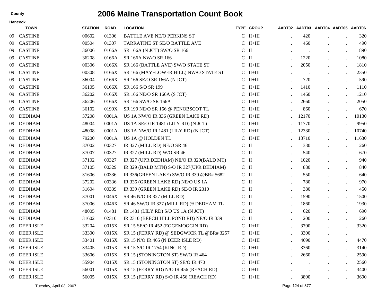|     | Hancock          |                |             |                                           |               |                   |                                    |                      |           |
|-----|------------------|----------------|-------------|-------------------------------------------|---------------|-------------------|------------------------------------|----------------------|-----------|
|     | <b>TOWN</b>      | <b>STATION</b> | <b>ROAD</b> | <b>LOCATION</b>                           |               | <b>TYPE GROUP</b> | AADT02 AADT03 AADT04 AADT05 AADT06 |                      |           |
| -09 | <b>CASTINE</b>   | 00602          | 01306       | <b>BATTLE AVE NE/O PERKINS ST</b>         | $\mathcal{C}$ | $II+III$          | 420                                |                      | 320       |
| -09 | <b>CASTINE</b>   | 00504          | 01307       | <b>TARRATINE ST SE/O BATTLE AVE</b>       |               | $C$ II+III        | 460                                |                      | 490       |
| 09  | <b>CASTINE</b>   | 36006          | 0166A       | SR 166A (N JCT) SW/O SR 166               | $\mathsf{C}$  | Ш                 | $\cdot$                            | $\bullet$            | 890       |
| 09  | <b>CASTINE</b>   | 36208          | 0166A       | SR 166A NW/O SR 166                       | $C$ II        |                   | 1220                               | $\bullet$            | 1080      |
| 09  | <b>CASTINE</b>   | 00306          | 0166X       | SR 166 (BATTLE AVE) SW/O STATE ST         | $\mathcal{C}$ | $II+III$          | 2050                               | $\bullet$            | 1810      |
| 09  | <b>CASTINE</b>   | 00308          | 0166X       | SR 166 (MAYFLOWER HILL) NW/O STATE ST     |               | $C$ II+III        | $\cdot$                            | $\ddot{\phantom{0}}$ | 2350      |
| 09  | <b>CASTINE</b>   | 36004          | 0166X       | SR 166 SE/O SR 166A (N JCT)               | C             | $II+III$          | 720                                | $\bullet$            | 590       |
| 09  | <b>CASTINE</b>   | 36105          | 0166X       | SR 166 S/O SR 199                         | $\mathcal{C}$ | $II+III$          | 1410                               | $\bullet$            | 1110      |
| 09  | <b>CASTINE</b>   | 36202          | 0166X       | SR 166 NE/O SR 166A (S JCT)               | $\mathcal{C}$ | $II+III$          | 1460                               | $\ddot{\phantom{a}}$ | 1210      |
| 09  | <b>CASTINE</b>   | 36206          | 0166X       | SR 166 SW/O SR 166A                       |               | $C$ II+III        | 2660                               | $\bullet$            | 2050      |
| 09  | <b>CASTINE</b>   | 36102          | 0199X       | SR 199 NE/O SR 166 @ PENOBSCOT TL         | C             | $II+III$          | 860                                | $\cdot$              | 670       |
| 09  | <b>DEDHAM</b>    | 37208          | 0001A       | US 1A NW/O IR 336 (GREEN LAKE RD)         | $\mathcal{C}$ | $II+III$          | 12170                              | $\bullet$            | 10130     |
| 09  | <b>DEDHAM</b>    | 48004          | 0001A       | US 1A SE/O IR 1481 (LILY RD) (N JCT)      | C             | $II+III$          | 11770                              | $\bullet$            | 9950      |
| 09  | <b>DEDHAM</b>    | 48008          | 0001A       | US 1A NW/O IR 1481 (LILY RD) (N JCT)      |               | $C$ II+III        | 12330                              | $\bullet$            | 10740     |
| -09 | <b>DEDHAM</b>    | 79200          | 0001A       | US 1A @ HOLDEN TL                         | $\mathcal{C}$ | $II+III$          | 13710                              |                      | 11630     |
| 09  | <b>DEDHAM</b>    | 37002          | 00327       | IR 327 (MILL RD) NE/O SR 46               | $C$ II        |                   | 330                                | $\bullet$            | 260       |
| 09  | <b>DEDHAM</b>    | 37007          | 00327       | IR 327 (MILL RD) W/O SR 46                | $\mathsf{C}$  | $\mathbf{H}$      | 540                                | $\bullet$            | 670       |
| 09  | <b>DEDHAM</b>    | 37102          | 00327       | IR 327 (UPR DEDHAM) NE/O IR 329(BALD MT)  | $C$ II        |                   | 1020                               | $\cdot$              | 940       |
| 09  | <b>DEDHAM</b>    | 37105          | 00329       | IR 329 (BALD MTN) S/O IR 327 (UPR DEDHAM) | $\mathsf{C}$  | $\mathbf{I}$      | 880                                | $\bullet$            | 840       |
| 09  | <b>DEDHAM</b>    | 31606          | 00336       | IR 336(GREEN LAKE) SW/O IR 339 @BR# 5682  | $C$ II        |                   | 550                                | $\cdot$              | 640       |
| 09  | <b>DEDHAM</b>    | 37202          | 00336       | IR 336 (GREEN LAKE RD) NE/O US 1A         | $\mathsf{C}$  | $\mathbf{I}$      | 780                                | $\bullet$            | 970       |
| 09  | <b>DEDHAM</b>    | 31604          | 00339       | IR 339 (GREEN LAKE RD) SE/O IR 2310       | $C$ II        |                   | 380                                | $\cdot$              | 450       |
| -09 | <b>DEDHAM</b>    | 37001          | 0046X       | SR 46 N/O IR 327 (MILL RD)                | $\mathbf C$   | $\mathbf{I}$      | 1590                               | $\ddot{\phantom{a}}$ | 1500      |
| 09  | <b>DEDHAM</b>    | 37006          | 0046X       | SR 46 SW/O IR 327 (MILL RD) @ DEDHAM TL   | $C$ II        |                   | 1860                               | $\ddot{\phantom{a}}$ | 1930      |
| 09  | <b>DEDHAM</b>    | 48005          | 01481       | IR 1481 (LILY RD) S/O US 1A (N JCT)       | $\mathbf C$   | $\mathbf{I}$      | 620                                | $\bullet$            | 690       |
| 09  | <b>DEDHAM</b>    | 31602          | 02310       | IR 2310 (BEECH HILL POND RD) NE/O IR 339  | $C$ II        |                   | 200                                | $\cdot$              | 260       |
| 09  | <b>DEER ISLE</b> | 33204          | 0015X       | SR 15 SE/O IR 452 (EGGEMOGGIN RD)         | C             | $II+III$          | 3700                               |                      | 3320      |
| 09  | <b>DEER ISLE</b> | 33300          | 0015X       | SR 15 (FERRY RD) @ SEDGWICK TL @BR# 3257  |               | $C$ II+III        | 3300                               | $\bullet$            | $\bullet$ |
| 09  | DEER ISLE        | 33401          | 0015X       | SR 15 N/O IR 465 (N DEER ISLE RD)         |               | $C$ II+III        | 4690                               |                      | 4470      |
| -09 | <b>DEER ISLE</b> | 33405          | 0015X       | SR 15 S/O IR 1754 (KING RD)               |               | $C$ II+III        | 3360                               |                      | 3140      |
| -09 | <b>DEER ISLE</b> | 33606          | 0015X       | SR 15 (STONINGTON ST) SW/O IR 464         |               | $C$ II+III        | 2660                               |                      | 2590      |
| 09  | <b>DEER ISLE</b> | 55904          | 0015X       | SR 15 (STONINGTON ST) SE/O IR 470         |               | $C$ II+III        |                                    |                      | 2560      |
| -09 | <b>DEER ISLE</b> | 56001          | 0015X       | SR 15 (FERRY RD) N/O IR 456 (REACH RD)    |               | $C$ II+III        | $\bullet$                          |                      | 3400      |
|     | 09 DEER ISLE     | 56005          | 0015X       | SR 15 (FERRY RD) S/O IR 456 (REACH RD)    |               | $C$ II+III        | 3890                               |                      | 3690      |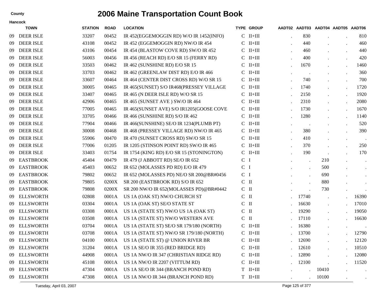|     | <b>TOWN</b>      | <b>STATION</b> | <b>ROAD</b> | <b>LOCATION</b>                          |                | <b>TYPE GROUP</b> |                      | AADT02 AADT03 AADT04 AADT05 AADT06 |           |           |
|-----|------------------|----------------|-------------|------------------------------------------|----------------|-------------------|----------------------|------------------------------------|-----------|-----------|
| 09  | <b>DEER ISLE</b> | 33207          | 00452       | IR 452(EGGEMOGGIN RD) W/O IR 1452(INFO)  |                | $C$ II+III        | 830                  |                                    |           | 810       |
| 09  | <b>DEER ISLE</b> | 43108          | 00452       | IR 452 (EGGEMOGGIN RD) NW/O IR 454       |                | $C$ II+III        | 440                  |                                    |           | 460       |
| 09  | <b>DEER ISLE</b> | 43106          | 00454       | IR 454 (BLASTOW COVE RD) SW/O IR 452     |                | $C$ II+III        | 460                  |                                    |           | 440       |
| 09  | <b>DEER ISLE</b> | 56003          | 00456       | IR 456 (REACH RD) E/O SR 15 (FERRY RD)   |                | $C$ II+III        | 400                  |                                    |           | 420       |
| 09  | <b>DEER ISLE</b> | 33503          | 00462       | IR 462 (SUNSHINE RD) E/O SR 15           |                | $C$ II+III        | 1670                 |                                    |           | 1460      |
| 09  | <b>DEER ISLE</b> | 33703          | 00462       | IR 462 (GREENLAW DIST RD) E/O IR 466     |                | $C$ II+III        | $\bullet$            |                                    |           | 360       |
| 09  | <b>DEER ISLE</b> | 33607          | 00464       | IR 464 (CENTER DIST CROSS RD) W/O SR 15  |                | $C$ II+III        | 740                  |                                    |           | 700       |
| 09  | <b>DEER ISLE</b> | 30005          | 00465       | IR 465(SUNSET) S/O IR468(PRESSEY VILLAGE |                | $C$ II+III        | 1740                 |                                    |           | 1720      |
| 09  | <b>DEER ISLE</b> | 33407          | 00465       | IR 465 (N DEER ISLE RD) W/O SR 15        |                | $C$ II+III        | 2150                 |                                    |           | 1920      |
| 09  | <b>DEER ISLE</b> | 42906          | 00465       | IR 465 (SUNSET AVE) SW/O IR 464          |                | $C$ II+III        | 2310                 |                                    |           | 2080      |
| 09  | <b>DEER ISLE</b> | 77005          | 00465       | IR 465(SUNSET AVE) S/O IR1205(GOOSE COVE |                | $C$ II+III        | 1730                 |                                    | $\cdot$   | 1670      |
| 09  | <b>DEER ISLE</b> | 33705          | 00466       | IR 466 (SUNSHINE RD) S/O IR 462          |                | $C$ II+III        | 1280                 |                                    |           | 1140      |
| 09  | <b>DEER ISLE</b> | 77904          | 00466       | IR 466(SUNSHINE) SE/O IR 1234(PLUMB PT)  |                | $C$ II+III        | $\,$ .               |                                    |           | 520       |
| 09  | <b>DEER ISLE</b> | 30008          | 00468       | IR 468 (PRESSEY VILLAGE RD) NW/O IR 465  |                | $C$ II+III        | 380                  |                                    |           | 390       |
| 09  | <b>DEER ISLE</b> | 55906          | 00470       | IR 470 (SUNSET CROSS RD) SW/O SR 15      |                | $C$ II+III        | 410                  |                                    | $\bullet$ | $\sim$    |
| 09  | <b>DEER ISLE</b> | 77006          | 01205       | IR 1205 (STINSON POINT RD) SW/O IR 465   |                | $C$ II+III        | 370                  |                                    |           | 250       |
| 09  | <b>DEER ISLE</b> | 33403          | 01754       | IR 1754 (KING RD) E/O SR 15 (STONINGTON) |                | $C$ II+III        | 190                  |                                    |           | 170       |
| 09  | <b>EASTBROOK</b> | 45404          | 00479       | IR 479 (J ABBOTT RD) SE/O IR 652         | C <sub>I</sub> |                   | $\ddot{\phantom{a}}$ | 210                                |           | $\bullet$ |
| 09  | <b>EASTBROOK</b> | 45403          | 00652       | IR 652 (MOLASSES PD RD) E/O IR 479       | C <sub>I</sub> |                   | $\ddot{\phantom{a}}$ | 500                                |           | $\bullet$ |
| 09  | <b>EASTBROOK</b> | 79802          | 00652       | IR 652 (MOLASSES PD) NE/O SR 200@BR#0456 | C <sub>I</sub> |                   | $\cdot$              | 690                                |           | $\bullet$ |
| 09  | <b>EASTBROOK</b> | 79805          | 0200X       | SR 200 (EASTBROOK RD) S/O IR 652         | $C$ II         |                   | $\ddot{\phantom{0}}$ | 880                                |           |           |
| 09  | <b>EASTBROOK</b> | 79808          | 0200X       | SR 200 NW/O IR 652(MOLASSES PD)@BR#0442  | $C$ II         |                   |                      | 730                                |           |           |
| 09  | <b>ELLSWORTH</b> | 02808          | 0001A       | US 1A (OAK ST) NW/O CHURCH ST            | $C$ II         |                   | 17740                |                                    |           | 16390     |
| 09  | <b>ELLSWORTH</b> | 03304          | 0001A       | US 1A (OAK ST) SE/O STATE ST             | $C$ II         |                   | 16630                |                                    |           | 17010     |
| 09  | <b>ELLSWORTH</b> | 03308          | 0001A       | US 1A (STATE ST) NW/O US 1A (OAK ST)     | $C$ II         |                   | 19290                |                                    |           | 19050     |
| 09  | <b>ELLSWORTH</b> | 03508          | 0001A       | US 1A (STATE ST) NW/O WESTERN AVE        | $C$ II         |                   | 17110                |                                    |           | 16630     |
| 09  | <b>ELLSWORTH</b> | 03704          | 0001A       | US 1A (STATE ST) SE/O SR 179/180 (NORTH) |                | $C$ II+III        | 16380                |                                    |           |           |
| 09  | <b>ELLSWORTH</b> | 03708          | 0001A       | US 1A (STATE ST) NW/O SR 179/180 (NORTH) |                | $C$ II+III        | 13700                |                                    |           | 12790     |
| 09. | <b>ELLSWORTH</b> | 04100          | 0001A       | US 1A (STATE ST) @ UNION RIVER BR        |                | $C$ II+III        | 12690                |                                    |           | 12120     |
| 09  | <b>ELLSWORTH</b> | 31204          | 0001A       | US 1A SE/O IR 355 (RED BRIDGE RD)        |                | $C$ II+III        | 12610                |                                    |           | 10510     |
| 09  | <b>ELLSWORTH</b> | 44908          | 0001A       | US 1A NW/O IR 347 (CHRISTIAN RIDGE RD)   |                | $C$ II+III        | 12890                |                                    |           | 12080     |
| 09  | <b>ELLSWORTH</b> | 45108          | 0001A       | US 1A NW/O IR 2207 (VITTUM RD)           |                | $C$ II+III        | 12100                |                                    |           | 11520     |
| 09  | <b>ELLSWORTH</b> | 47304          | 0001A       | US 1A SE/O IR 344 (BRANCH POND RD)       |                | $T$ II+III        |                      | 10410                              |           | $\sim$    |
|     | 09 ELLSWORTH     | 47308          | 0001A       | US 1A NW/O IR 344 (BRANCH POND RD)       |                | $T$ II+III        |                      | 10100                              |           |           |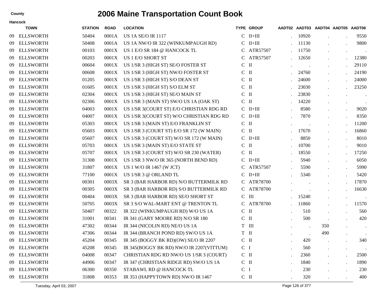|    | <b>TOWN</b>      | <b>STATION</b> | <b>ROAD</b> | <b>LOCATION</b>                          |                | <b>TYPE GROUP</b> |         | AADT02 AADT03 AADT04 AADT05 AADT06 |           |                |
|----|------------------|----------------|-------------|------------------------------------------|----------------|-------------------|---------|------------------------------------|-----------|----------------|
| 09 | <b>ELLSWORTH</b> | 50404          | 0001A       | <b>US 1A SE/O IR 1117</b>                | $\mathcal{C}$  | $II+III$          | 10920   |                                    |           | 9550           |
| 09 | <b>ELLSWORTH</b> | 50408          | 0001A       | US 1A NW/O IR 322 (WINKUMPAUGH RD)       | $\mathbf{C}$   | $II+III$          | 11130   |                                    |           | 9800           |
| 09 | <b>ELLSWORTH</b> | 00103          | 0001X       | US 1 E/O SR 184 @ HANCOCK TL             | C              | ATR57507          | 11750   |                                    |           | $\sim$ $\sim$  |
| 09 | <b>ELLSWORTH</b> | 00203          | 0001X       | US 1 E/O SHORT ST                        |                | C ATR57507        | 12650   |                                    |           | 12380          |
| 09 | <b>ELLSWORTH</b> | 00604          | 0001X       | US 1/SR 3 (HIGH ST) SE/O FOSTER ST       | $C$ II         |                   |         |                                    |           | 29110          |
| 09 | <b>ELLSWORTH</b> | 00608          | 0001X       | US 1/SR 3 (HIGH ST) NW/O FOSTER ST       | $\mathcal{C}$  | $\mathbf{I}$      | 24760   |                                    |           | 24190          |
| 09 | <b>ELLSWORTH</b> | 01205          | 0001X       | US 1/SR 3 (HIGH ST) S/O DEAN ST          | $C$ II         |                   | 24600   |                                    |           | 24000          |
| 09 | <b>ELLSWORTH</b> | 01605          | 0001X       | US 1/SR 3 (HIGH ST) S/O ELM ST           | $C$ II         |                   | 23030   |                                    |           | 23250          |
| 09 | <b>ELLSWORTH</b> | 02304          | 0001X       | US 1/SR 3 (HIGH ST) SE/O MAIN ST         | $C$ II         |                   | 23830   |                                    |           | $\blacksquare$ |
| 09 | <b>ELLSWORTH</b> | 02306          | 0001X       | US 1/SR 3 (MAIN ST) SW/O US 1A (OAK ST)  | $C$ II         |                   | 14220   |                                    |           | $\bullet$      |
| 09 | <b>ELLSWORTH</b> | 04003          | 0001X       | US 1/SR 3(COURT ST) E/O CHRISTIAN RDG RD |                | $C$ II+III        | 8580    |                                    |           | 9020           |
| 09 | <b>ELLSWORTH</b> | 04007          | 0001X       | US 1/SR 3(COURT ST) W/O CHRISTIAN RDG RD |                | $C$ II+III        | 7870    |                                    |           | 8350           |
| 09 | <b>ELLSWORTH</b> | 05303          | 0001X       | US 1/SR 3 (MAIN ST) E/O FRANKLIN ST      | $C$ II         |                   |         |                                    |           | 11200          |
| 09 | <b>ELLSWORTH</b> | 05603          | 0001X       | US 1/SR 3 (COURT ST) E/O SR 172 (W MAIN) | $C$ II         |                   | 17670   |                                    |           | 16860          |
| 09 | <b>ELLSWORTH</b> | 05607          | 0001X       | US 1/SR 3 (COURT ST) W/O SR 172 (W MAIN) |                | $C$ II+III        | 8850    |                                    | $\bullet$ | 8010           |
| 09 | <b>ELLSWORTH</b> | 05703          | 0001X       | US 1/SR 3 (MAIN ST) E/O STATE ST         | $C$ II         |                   | 10700   |                                    |           | 9010           |
| 09 | <b>ELLSWORTH</b> | 05707          | 0001X       | US 1/SR 3 (COURT ST) W/O SR 230 (WATER)  | $C$ II         |                   | 18550   |                                    |           | 17250          |
| 09 | <b>ELLSWORTH</b> | 31308          | 0001X       | US 1/SR 3 NW/O IR 365 (NORTH BEND RD)    | C.             | $II+III$          | 5940    |                                    |           | 6050           |
| 09 | <b>ELLSWORTH</b> | 31807          | 0001X       | US 1 W/O IR 1467 (W JCT)                 | C              | ATR57507          | 5590    |                                    |           | 5990           |
| 09 | <b>ELLSWORTH</b> | 77100          | 0001X       | US 1/SR 3 @ ORLAND TL                    | C              | $II+III$          | 5340    |                                    |           | 5420           |
| 09 | <b>ELLSWORTH</b> | 00301          | 0003X       | SR 3 (BAR HARBOR RD) N/O BUTTERMILK RD   |                | C ATR78700        |         |                                    |           | 17870          |
| 09 | <b>ELLSWORTH</b> | 00305          | 0003X       | SR 3 (BAR HARBOR RD) S/O BUTTERMILK RD   |                | C ATR78700        |         |                                    |           | 16630          |
| 09 | <b>ELLSWORTH</b> | 00404          | 0003X       | SR 3 (BAR HARBOR RD) SE/O SHORT ST       | $\mathcal{C}$  | $\mathbf{III}$    | 15240   |                                    |           |                |
| 09 | <b>ELLSWORTH</b> | 50705          | 0003X       | SR 3 S/O WAL-MART ENT @ TRENTON TL       |                | C ATR78700        | 11860   |                                    |           | 11570          |
| 09 | <b>ELLSWORTH</b> | 50407          | 00322       | IR 322 (WINKUMPAUGH RD) W/O US 1A        | $C$ II         |                   | 510     |                                    |           | 560            |
| 09 | <b>ELLSWORTH</b> | 31001          | 00341       | IR 341 (GARY MOORE RD) N/O SR 180        | $C$ II         |                   | 500     |                                    |           | 420            |
| 09 | <b>ELLSWORTH</b> | 47302          | 00344       | IR 344 (NICOLIN RD) NE/O US 1A           | T III          |                   | $\cdot$ | 350                                |           | $\blacksquare$ |
| 09 | <b>ELLSWORTH</b> | 47306          | 00344       | IR 344 (BRANCH POND RD) SW/O US 1A       | T II           |                   |         | 490                                |           |                |
| 09 | <b>ELLSWORTH</b> | 45204          | 00345       | IR 345 (BOGGY BK RD)(OW) SE/O IR 2207    | $C$ II         |                   | 420     |                                    |           | 340            |
| 09 | <b>ELLSWORTH</b> | 45208          | 00345       | IR 345(BOGGY BK RD) NW/O IR 2207(VITTUM) | C <sub>1</sub> |                   | 560     |                                    |           |                |
| 09 | <b>ELLSWORTH</b> | 04008          | 00347       | CHRISTIAN RDG RD NW/O US 1/SR 3 (COURT)  | $C$ II         |                   | 2360    |                                    |           | 2500           |
| 09 | <b>ELLSWORTH</b> | 44906          | 00347       | IR 347 (CHRISTIAN RIDGE RD) SW/O US 1A   | $C$ II         |                   | 1840    |                                    |           | 1890           |
| 09 | <b>ELLSWORTH</b> | 06300          | 00350       | STABAWL RD @ HANCOCK TL                  | C <sub>1</sub> |                   | 230     |                                    |           | 230            |
|    | 09 ELLSWORTH     | 31808          | 00353       | IR 353 (HAPPYTOWN RD) NW/O IR 1467       | $C$ II         |                   | 320     |                                    |           | 400            |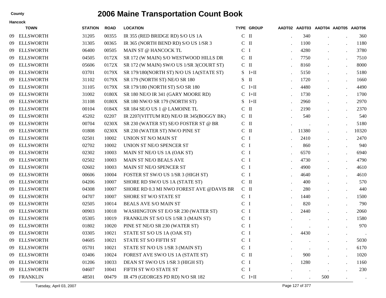|     | <b>Hancock</b>   |                |             |                                            |                |                   |                                    |     |           |                  |
|-----|------------------|----------------|-------------|--------------------------------------------|----------------|-------------------|------------------------------------|-----|-----------|------------------|
|     | <b>TOWN</b>      | <b>STATION</b> | <b>ROAD</b> | <b>LOCATION</b>                            |                | <b>TYPE GROUP</b> | AADT02 AADT03 AADT04 AADT05 AADT06 |     |           |                  |
| -09 | <b>ELLSWORTH</b> | 31205          | 00355       | IR 355 (RED BRIDGE RD) S/O US 1A           | $C$ II         |                   | 340                                |     |           | 360              |
| 09  | <b>ELLSWORTH</b> | 31305          | 00365       | IR 365 (NORTH BEND RD) S/O US 1/SR 3       | $\mathbf C$    | $\mathbf{I}$      | 1100                               |     |           | 1180             |
| 09  | <b>ELLSWORTH</b> | 06400          | 00505       | MAIN ST @ HANCOCK TL                       | C <sub>1</sub> |                   | 4280                               |     |           | 3780             |
| 09  | <b>ELLSWORTH</b> | 04505          | 0172X       | SR 172 (W MAIN) S/O WESTWOOD HILLS DR      | $C$ II         |                   | 7750                               |     |           | 7510             |
| 09  | <b>ELLSWORTH</b> | 05606          | 0172X       | SR 172 (W MAIN) SW/O US 1/SR 3(COURT ST)   | $C$ II         |                   | 8160                               |     |           | 8000             |
| 09  | <b>ELLSWORTH</b> | 03701          | 0179X       | SR 179/180(NORTH ST) N/O US 1A(STATE ST)   | S              | $I+II$            | 5150                               |     |           | 5180             |
| 09  | <b>ELLSWORTH</b> | 31102          | 0179X       | SR 179 (NORTH ST) NE/O SR 180              | S.             | $\mathbf{I}$      | 1720                               |     |           | 1660             |
| 09  | <b>ELLSWORTH</b> | 31105          | 0179X       | SR 179/180 (NORTH ST) S/O SR 180           | C              | $I+II$            | 4480                               |     |           | 4490             |
| 09  | <b>ELLSWORTH</b> | 31002          | 0180X       | SR 180 NE/O IR 341 (GARY MOORE RD)         | $\mathcal{C}$  | $I+II$            | 1730                               |     | $\bullet$ | 1700             |
| 09  | <b>ELLSWORTH</b> | 31108          | 0180X       | SR 180 NW/O SR 179 (NORTH ST)              | S              | $I+II$            | 2960                               |     |           | 2970             |
| 09  | <b>ELLSWORTH</b> | 00104          | 0184X       | SR 184 SE/O US 1 @ LAMOINE TL              | $\mathcal{C}$  | Ш                 | 2190                               |     |           | 2370             |
| 09  | <b>ELLSWORTH</b> | 45202          | 02207       | IR 2207(VITTUM RD) NE/O IR 345(BOGGY BK)   | $C$ II         |                   | 540                                |     |           | 540              |
| 09  | <b>ELLSWORTH</b> | 00704          | 0230X       | SR 230 (WATER ST) SE/O FOSTER ST @ BR      | $C$ II         |                   |                                    |     |           | 5180             |
| 09  | <b>ELLSWORTH</b> | 01808          | 0230X       | SR 230 (WATER ST) NW/O PINE ST             | $\mathsf{C}$   | $\mathbf{I}$      | 11380                              |     |           | 10320            |
| 09  | <b>ELLSWORTH</b> | 02501          | 10002       | UNION ST N/O MAIN ST                       | $\mathsf{C}$   | - 1               | 2410                               |     |           | 2470             |
| 09  | <b>ELLSWORTH</b> | 02702          | 10002       | UNION ST NE/O SPENCER ST                   | C <sub>1</sub> |                   | 860                                |     |           | 940              |
| 09  | <b>ELLSWORTH</b> | 02302          | 10003       | MAIN ST NE/O US 1A (OAK ST)                | C <sub>1</sub> |                   | 6570                               |     |           | 6940             |
| 09  | <b>ELLSWORTH</b> | 02502          | 10003       | MAIN ST NE/O BEALS AVE                     | C <sub>1</sub> |                   | 4730                               |     |           | 4790             |
| 09  | <b>ELLSWORTH</b> | 02602          | 10003       | MAIN ST NE/O SPENCER ST                    | C <sub>1</sub> |                   | 4900                               |     |           | 4610             |
| 09  | <b>ELLSWORTH</b> | 00606          | 10004       | FOSTER ST SW/O US 1/SR 3 (HIGH ST)         | $\mathcal{C}$  | $\mathbf{I}$      | 4640                               |     |           | 4610             |
| 09  | <b>ELLSWORTH</b> | 04206          | 10007       | SHORE RD SW/O US 1A (STATE ST)             | $C$ II         |                   | 400                                |     |           | 570              |
| 09  | <b>ELLSWORTH</b> | 04308          | 10007       | SHORE RD 0.3 MI NWO FOREST AVE @DAVIS BR   | $C$ II         |                   | 280                                |     |           | 440              |
| 09  | <b>ELLSWORTH</b> | 04707          | 10007       | SHORE ST W/O STATE ST                      | $\mathsf{C}$   | $\mathbf{I}$      | 1440                               |     |           | 1500             |
| 09  | <b>ELLSWORTH</b> | 02505          | 10014       | BEALS AVE S/O MAIN ST                      | $\mathbf C$    | П                 | 820                                |     |           | 790              |
| 09  | <b>ELLSWORTH</b> | 00903          | 10018       | <b>WASHINGTON ST E/O SR 230 (WATER ST)</b> | C <sub>1</sub> |                   | 2440                               |     |           | 2060             |
| 09  | <b>ELLSWORTH</b> | 05305          | 10019       | FRANKLIN ST S/O US 1/SR 3 (MAIN ST)        | C <sub>1</sub> |                   |                                    |     |           | 1580             |
| 09  | <b>ELLSWORTH</b> | 01802          | 10020       | PINE ST NE/O SR 230 (WATER ST)             | C <sub>1</sub> |                   |                                    |     |           | 970              |
| 09  | <b>ELLSWORTH</b> | 03305          | 10021       | STATE ST S/O US 1A (OAK ST)                | $\mathbf{C}$   | - 1               | 4430                               |     |           |                  |
|     | 09 ELLSWORTH     | 04605          | 10021       | STATE ST S/O FIFTH ST                      | C I            |                   |                                    |     |           | 5030             |
| -09 | <b>ELLSWORTH</b> | 05701          | 10021       | STATE ST N/O US 1/SR 3 (MAIN ST)           | $\mathsf{C}$   | $\mathbf I$       |                                    |     |           | 6170             |
| -09 | <b>ELLSWORTH</b> | 03406          | 10024       | FOREST AVE SW/O US 1A (STATE ST)           | $C$ II         |                   | 900                                |     |           | 1020             |
| -09 | <b>ELLSWORTH</b> | 01206          | 10033       | DEAN ST SW/O US 1/SR 3 (HIGH ST)           | C <sub>1</sub> |                   | 1280                               |     |           | 1160             |
| 09  | <b>ELLSWORTH</b> | 04607          | 10041       | FIFTH ST W/O STATE ST                      | C <sub>1</sub> |                   | $\cdot$                            |     |           | 230              |
| 09  | <b>FRANKLIN</b>  | 48501          | 00479       | IR 479 (GEORGES PD RD) N/O SR 182          |                | $C$ I+II          |                                    | 500 |           | $\sim$ 100 $\pm$ |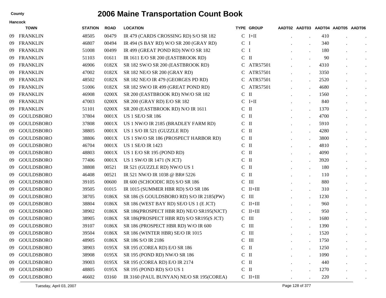|     | <b>TOWN</b>       | <b>STATION</b> | <b>ROAD</b> | <b>LOCATION</b>                          |                | <b>TYPE GROUP</b>  |                      | AADT02 AADT03 AADT04 AADT05 AADT06 |           |
|-----|-------------------|----------------|-------------|------------------------------------------|----------------|--------------------|----------------------|------------------------------------|-----------|
| -09 | <b>FRANKLIN</b>   | 48505          | 00479       | IR 479 (CARDS CROSSING RD) S/O SR 182    |                | $C$ I+II           |                      | 410                                |           |
| 09  | <b>FRANKLIN</b>   | 46807          | 00494       | IR 494 (S BAY RD) W/O SR 200 (GRAY RD)   | $\mathsf{C}$   | I                  |                      | 340                                | $\bullet$ |
| 09  | <b>FRANKLIN</b>   | 51008          | 00499       | IR 499 (GREAT POND RD) NW/O SR 182       | C <sub>1</sub> |                    |                      | 180                                | $\bullet$ |
| 09  | <b>FRANKLIN</b>   | 51103          | 01611       | IR 1611 E/O SR 200 (EASTBROOK RD)        | $C$ II         |                    | $\cdot$              | 90                                 | $\bullet$ |
| 09  | <b>FRANKLIN</b>   | 46906          | 0182X       | SR 182 SW/O SR 200 (EASTBROOK RD)        | $\mathbf C$    | ATR57501           | $\ddot{\phantom{a}}$ | 4310                               | $\bullet$ |
| 09  | <b>FRANKLIN</b>   | 47002          | 0182X       | SR 182 NE/O SR 200 (GRAY RD)             |                | ATR57501           | $\ddot{\phantom{a}}$ | 3350                               | $\bullet$ |
| 09  | <b>FRANKLIN</b>   | 48502          | 0182X       | SR 182 NE/O IR 479 (GEORGES PD RD)       | C              | ATR57501           | $\cdot$              | 2520                               | $\bullet$ |
| 09  | <b>FRANKLIN</b>   | 51006          | 0182X       | SR 182 SW/O IR 499 (GREAT POND RD)       |                | C ATR57501         | $\cdot$              | 4680                               | $\bullet$ |
| 09  | <b>FRANKLIN</b>   | 46908          | 0200X       | SR 200 (EASTBROOK RD) NW/O SR 182        | $C$ II         |                    | $\cdot$              | 1560                               | $\bullet$ |
| 09  | <b>FRANKLIN</b>   | 47003          | 0200X       | SR 200 (GRAY RD) E/O SR 182              |                | $C$ I+II           | $\bullet$            | 840                                | $\bullet$ |
| 09  | <b>FRANKLIN</b>   | 51101          | 0200X       | SR 200 (EASTBROOK RD) N/O IR 1611        | $C$ II         |                    | $\ddot{\phantom{a}}$ | 1370                               | $\bullet$ |
| 09  | <b>GOULDSBORO</b> | 37804          | 0001X       | <b>US 1 SE/O SR 186</b>                  | $C$ II         |                    | $\ddot{\phantom{a}}$ | 4700                               | $\bullet$ |
| 09  | <b>GOULDSBORO</b> | 37808          | 0001X       | US 1 NW/O IR 2185 (BRADLEY FARM RD)      | $C$ II         |                    | $\cdot$              | 5910                               | $\bullet$ |
| 09  | <b>GOULDSBORO</b> | 38805          | 0001X       | US 1 S/O IR 521 (GUZZLE RD)              | $\mathcal{C}$  | $\mathbf{I}$       | $\cdot$              | 4280                               | $\bullet$ |
| 09  | <b>GOULDSBORO</b> | 38806          | 0001X       | US 1 SW/O SR 186 (PROSPECT HARBOR RD)    | $C$ II         |                    | $\ddot{\phantom{a}}$ | 3800                               | $\bullet$ |
| 09  | <b>GOULDSBORO</b> | 46704          | 0001X       | <b>US 1 SE/O IR 1423</b>                 | $C$ II         |                    | $\cdot$              | 4810                               | $\bullet$ |
| 09  | <b>GOULDSBORO</b> | 48803          | 0001X       | US 1 E/O SR 195 (POND RD)                | $C$ II         |                    | $\cdot$              | 4090                               | $\bullet$ |
| 09  | <b>GOULDSBORO</b> | 77406          | 0001X       | US 1 SW/O IR 1471 (N JCT)                | $C$ II         |                    | $\cdot$              | 3920                               | $\bullet$ |
| 09  | <b>GOULDSBORO</b> | 38808          | 00521       | IR 521 (GUZZLE RD) NW/O US 1             | $C$ II         |                    | $\ddot{\phantom{a}}$ | 180                                | $\bullet$ |
| 09  | <b>GOULDSBORO</b> | 46408          | 00521       | IR 521 NW/O IR 1038 @ BR# 5226           | $\mathbf C$    | $\mathbf{I}$       | $\bullet$            | 110                                | $\bullet$ |
| 09  | <b>GOULDSBORO</b> | 39105          | 00600       | IR 600 (SCHOODIC RD) S/O SR 186          | $\mathsf{C}$   | Ш                  | $\cdot$              | 880                                | $\bullet$ |
| 09  | <b>GOULDSBORO</b> | 39505          | 01015       | IR 1015 (SUMMER HBR RD) S/O SR 186       |                | $C$ II+III         | $\cdot$              | 310                                | $\bullet$ |
| 09  | <b>GOULDSBORO</b> | 38705          | 0186X       | SR 186 (S GOULDSBORO RD) S/O IR 2185(PW) | $C$ III        |                    | $\ddot{\phantom{a}}$ | 1230                               | $\bullet$ |
| 09  | <b>GOULDSBORO</b> | 38804          | 0186X       | SR 186 (WEST BAY RD) SE/O US 1 (E JCT)   |                | $C$ II+III         | $\bullet$            | 960                                | $\bullet$ |
| 09  | <b>GOULDSBORO</b> | 38902          | 0186X       | SR 186(PROSPECT HBR RD) NE/O SR195(NJCT) |                | $C$ II+III         | $\ddot{\phantom{a}}$ | 950                                | $\bullet$ |
| 09  | <b>GOULDSBORO</b> | 38905          | 0186X       | SR 186(PROSPECT HBR RD) S/O SR195(S JCT) | $\mathbf C$    | Ш                  | $\cdot$              | 1680                               | $\bullet$ |
| 09  | <b>GOULDSBORO</b> | 39107          | 0186X       | SR 186 (PROSPECT HBR RD) W/O IR 600      | $\mathcal{C}$  | $\mathbf{H}$       | $\ddot{\phantom{a}}$ | 1390                               | $\bullet$ |
| 09  | <b>GOULDSBORO</b> | 39504          | 0186X       | SR 186 (WINTER HBR) SE/O IR 1015         | $\mathbf C$    | $\mathop{\rm III}$ |                      | 1520                               | $\bullet$ |
| 09  | <b>GOULDSBORO</b> | 48905          | 0186X       | SR 186 S/O IR 2186                       | $C$ III        |                    | $\cdot$              | 1750                               |           |
| 09  | <b>GOULDSBORO</b> | 38903          | 0195X       | SR 195 (COREA RD) E/O SR 186             | $C$ $\;$ II    |                    |                      | 1250                               |           |
| 09  | <b>GOULDSBORO</b> | 38908          | 0195X       | SR 195 (POND RD) NW/O SR 186             | $C$ II         |                    |                      | 1090                               | $\bullet$ |
| 09  | <b>GOULDSBORO</b> | 39003          | 0195X       | SR 195 (COREA RD) E/O IR 2174            | $C$ II         |                    |                      | 440                                | $\bullet$ |
| 09  | <b>GOULDSBORO</b> | 48805          | 0195X       | SR 195 (POND RD) S/O US 1                | $C$ II         |                    |                      | 1270                               | $\bullet$ |
| 09  | GOULDSBORO        | 46602          | 03160       | IR 3160 (PAUL BUNYAN) NE/O SR 195(COREA) |                | $C$ II+III         |                      | 220                                |           |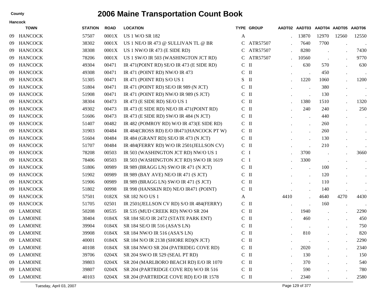|    | Hancock        |                |             |                                            |                |                   |      |                                    |       |       |           |
|----|----------------|----------------|-------------|--------------------------------------------|----------------|-------------------|------|------------------------------------|-------|-------|-----------|
|    | <b>TOWN</b>    | <b>STATION</b> | <b>ROAD</b> | <b>LOCATION</b>                            |                | <b>TYPE GROUP</b> |      | AADT02 AADT03 AADT04 AADT05 AADT06 |       |       |           |
| 09 | <b>HANCOCK</b> | 57507          | 0001X       | <b>US 1 W/O SR 182</b>                     | A              |                   |      | 13870                              | 12970 | 12560 | 12550     |
| 09 | <b>HANCOCK</b> | 38302          | 0001X       | US 1 NE/O IR 473 @ SULLIVAN TL @ BR        | C              | ATR57507          |      | 7640                               | 7700  |       |           |
| 09 | <b>HANCOCK</b> | 38308          | 0001X       | US 1 NW/O IR 473 (E SIDE RD)               | C              | ATR57507          |      | 8280                               |       |       | 7430      |
| 09 | <b>HANCOCK</b> | 78206          | 0001X       | US 1 SW/O IR 503 (WASHINGTON JCT RD)       | C              | ATR57507          |      | 10560                              |       |       | 9770      |
| 09 | <b>HANCOCK</b> | 49304          | 00471       | IR 471(POINT RD) SE/O IR 473 (E SIDE RD)   | $C$ II         |                   |      | 630                                | 570   |       | 630       |
| 09 | <b>HANCOCK</b> | 49308          | 00471       | IR 471 (POINT RD) NW/O IR 473              | C              | $\mathbf{I}$      |      |                                    | 450   |       |           |
| 09 | <b>HANCOCK</b> | 51305          | 00471       | IR 471 (POINT RD) S/O US 1                 | S.             | $\mathbf{I}$      |      | 1220                               | 1060  |       | 1200      |
| 09 | <b>HANCOCK</b> | 51804          | 00471       | IR 471 (POINT RD) SE/O IR 989 (N JCT)      | $\mathbf{C}$   | $\mathbf{I}$      |      |                                    | 380   |       |           |
| 09 | <b>HANCOCK</b> | 51908          | 00471       | IR 471 (POINT RD) NW/O IR 989 (S JCT)      | $C$ II         |                   |      |                                    | 130   |       | $\bullet$ |
| 09 | <b>HANCOCK</b> | 38304          | 00473       | IR 473 (E SIDE RD) SE/O US 1               | $C$ II         |                   |      | 1380                               | 1510  |       | 1320      |
| 09 | <b>HANCOCK</b> | 49302          | 00473       | IR 473 (E SIDE RD) NE/O IR 471 (POINT RD)  | $C$ II         |                   |      | 240                                | 240   |       | 250       |
| 09 | <b>HANCOCK</b> | 51606          | 00473       | IR 473 (E SIDE RD) SW/O IR 484 (N JCT)     | C              | $\mathbf{I}$      |      |                                    | 440   |       | $\bullet$ |
| 09 | <b>HANCOCK</b> | 51407          | 00482       | IR 482 (POMROY RD) W/O IR 473(E SIDE RD)   | $C$ II         |                   |      |                                    | 260   |       | $\bullet$ |
| 09 | <b>HANCOCK</b> | 31903          | 00484       | IR 484(CROSS RD) E/O IR471(HANCOCK PT W)   | $C$ II         |                   |      | $\ddot{\phantom{0}}$               | 260   |       | $\bullet$ |
| 09 | <b>HANCOCK</b> | 51604          | 00484       | IR 484 (GRANT RD) SE/O IR 473 (N JCT)      | $C$ II         |                   |      | $\ddot{\phantom{0}}$               | 130   |       |           |
| 09 | <b>HANCOCK</b> | 51707          | 00484       | IR 484(FERRY RD) W/O IR 2501(JELLSON CV)   | $C$ II         |                   |      |                                    | 210   |       |           |
| 09 | <b>HANCOCK</b> | 78208          | 00503       | IR 503 (WASHINGTON JCT RD) NW/O US 1       | C <sub>1</sub> |                   |      | 3700                               |       |       | 3660      |
| 09 | <b>HANCOCK</b> | 78406          | 00503       | IR 503 (WASHINGTON JCT RD) SW/O IR 1619    | C <sub>1</sub> |                   |      | 3300                               |       |       | $\bullet$ |
| 09 | <b>HANCOCK</b> | 51806          | 00989       | IR 989 (BRAGG LN) SW/O IR 471 (N JCT)      | $C$ II         |                   |      | $\cdot$                            | 100   |       | $\bullet$ |
| 09 | <b>HANCOCK</b> | 51902          | 00989       | IR 989 (BAY AVE) NE/O IR 471 (S JCT)       | $C$ II         |                   |      |                                    | 120   |       | $\bullet$ |
| 09 | <b>HANCOCK</b> | 51906          | 00989       | IR 989 (BRAGG LN) SW/O IR 471 (S JCT)      | $C$ II         |                   |      |                                    | 110   |       |           |
| 09 | <b>HANCOCK</b> | 51802          | 00998       | IR 998 (HANSKIN RD) NE/O IR471 (POINT)     | $C$ II         |                   |      |                                    | 140   |       |           |
| 09 | <b>HANCOCK</b> | 57501          | 0182X       | SR 182 N/O US 1                            | A              |                   | 4410 | $\ddot{\phantom{0}}$               | 4640  | 4270  | 4430      |
| 09 | <b>HANCOCK</b> | 51705          | 02501       | IR 2501 (JELLSON CV RD) S/O IR 484 (FERRY) | $C$ II         |                   |      |                                    | 160   |       |           |
| 09 | <b>LAMOINE</b> | 50208          | 00535       | IR 535 (MUD CREEK RD) NW/O SR 204          | $C$ II         |                   |      | 1940                               |       |       | 2290      |
| 09 | <b>LAMOINE</b> | 30404          | 0184X       | SR 184 SE/O IR 2472 (STATE PARK ENT)       | $C$ II         |                   |      | 460                                |       |       | 450       |
| 09 | <b>LAMOINE</b> | 39904          | 0184X       | SR 184 SE/O IR 516 (ASA'S LN)              | $C$ II         |                   |      |                                    |       |       | 750       |
|    | 09 LAMOINE     | 39908          | 0184X       | SR 184 NW/O IR 516 (ASA'S LN)              | C              | $\mathbf{I}$      |      | 810                                |       |       | 820       |
|    | 09 LAMOINE     | 40001          |             | 0184X SR 184 N/O IR 2138 (SHORE RD)(N JCT) | $C$ II         |                   |      | $\bullet$                          |       |       | 2290      |
| 09 | <b>LAMOINE</b> | 40108          | 0184X       | SR 184 NW/O SR 204 (PATRIDEG COVE RD)      | $C$ II         |                   |      | 2020                               |       |       | 2340      |
| 09 | LAMOINE        | 39706          | 0204X       | SR 204 SW/O IR 529 (SEAL PT RD)            | $C$ II         |                   |      | 130                                |       |       | 150       |
| 09 | <b>LAMOINE</b> | 39803          | 0204X       | SR 204 (MARLBORO BEACH RD) E/O IR 1070     | $C$ II         |                   |      | 370                                |       |       | 540       |
| 09 | <b>LAMOINE</b> | 39807          | 0204X       | SR 204 (PARTRIDGE COVE RD) W/O IR 516      | $\rm C~$ II    |                   |      | 590                                |       |       | 780       |
|    | 09 LAMOINE     | 40103          | 0204X       | SR 204 (PARTRIDGE COVE RD) E/O IR 1578     | $\mathbf C$ II |                   |      | 2340                               |       |       | 2580      |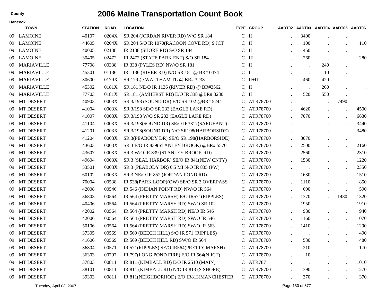|    | Hancock           |                |             |                                          |               |                   |           |           |           |                                    |                      |
|----|-------------------|----------------|-------------|------------------------------------------|---------------|-------------------|-----------|-----------|-----------|------------------------------------|----------------------|
|    | <b>TOWN</b>       | <b>STATION</b> | <b>ROAD</b> | <b>LOCATION</b>                          |               | <b>TYPE GROUP</b> |           |           |           | AADT02 AADT03 AADT04 AADT05 AADT06 |                      |
| 09 | <b>LAMOINE</b>    | 40107          | 0204X       | SR 204 (JORDAN RIVER RD) W/O SR 184      | $\mathsf{C}$  | $\mathbf{I}$      |           | 3400      |           |                                    | $\blacksquare$       |
| 09 | <b>LAMOINE</b>    | 44605          | 0204X       | SR 204 S/O IR 1070(RACOON COVE RD) S JCT | $C$ II        |                   |           | 100       |           |                                    | 110                  |
| 09 | <b>LAMOINE</b>    | 40005          | 02138       | IR 2138 (SHORE RD) S/O SR 184            | $\mathcal{C}$ | $\mathbf{I}$      |           | 450       |           | $\bullet$                          | $\blacksquare$ .     |
| 09 | <b>LAMOINE</b>    | 30405          | 02472       | IR 2472 (STATE PARK ENT) S/O SR 184      | C             | $\mathbf{III}$    |           | 260       |           |                                    | 280                  |
| 09 | <b>MARIAVILLE</b> | 77708          | 00338       | IR 338 (PYLES RD) NW/O SR 181            | $\mathsf{C}$  | $\mathbf{I}$      |           |           | 240       |                                    | $\bullet$            |
| 09 | <b>MARIAVILLE</b> | 45301          | 01136       | IR 1136 (RIVER RD) N/O SR 181 @ BR# 0474 | $\mathbf C$   | $\mathbf I$       |           |           | 10        |                                    | $\bullet$            |
| 09 | <b>MARIAVILLE</b> | 30600          | 0179X       | SR 179 @ WALTHAM TL @ BR# 3238           |               | $C$ II+III        |           | 460       | 420       |                                    | $\bullet$            |
| 09 | <b>MARIAVILLE</b> | 45302          | 0181X       | SR 181 NE/O IR 1136 (RIVER RD) @ BR#3562 | $\mathcal{C}$ | $\mathbf{I}$      |           |           | 260       |                                    | $\ddot{\phantom{0}}$ |
| 09 | <b>MARIAVILLE</b> | 77703          | 0181X       | SR 181 (AMHERST RD) E/O IR 338 @BR# 3230 | $C$ II        |                   |           | 520       | 550       |                                    | $\bullet$            |
| 09 | <b>MT DESERT</b>  | 40903          | 0003X       | SR 3/198 (SOUND DR) E/O SR 102 @BR# 5244 |               | C ATR78700        |           | $\bullet$ |           | 7490                               |                      |
| 09 | <b>MT DESERT</b>  | 41004          | 0003X       | SR 3/198 SE/O SR 233 (EAGLE LAKE RD)     | C             | ATR78700          |           | 4620      |           | $\ddot{\phantom{a}}$               | 4500                 |
| 09 | <b>MT DESERT</b>  | 41007          | 0003X       | SR 3/198 W/O SR 233 (EAGLE LAKE RD)      | C             | ATR78700          |           | 7070      |           | $\cdot$                            | 6630                 |
| 09 | <b>MT DESERT</b>  | 41104          | 0003X       | SR 3/198(SOUND DR) SE/O IR3317(SARGEANT) | C.            | ATR78700          |           |           |           | $\bullet$                          | 3440                 |
| 09 | <b>MT DESERT</b>  | 41201          | 0003X       | SR 3/198(SOUND DR) N/O SR198(HARBORSIDE) | C.            | ATR78700          |           |           |           |                                    | 3480                 |
| 09 | <b>MT DESERT</b>  | 41204          | 0003X       | SR 3(PEABODY DR) SE/O SR 198(HARBORSIDE) |               | C ATR78700        |           | 3070      |           | $\bullet$                          | $\blacksquare$ .     |
| 09 | <b>MT DESERT</b>  | 43603          | 0003X       | SR 3 E/O IR 839(STANLEY BROOK) @BR# 5570 | C             | ATR78700          |           | 2500      |           | $\bullet$                          | 2160                 |
| 09 | <b>MT DESERT</b>  | 43607          | 0003X       | SR 3 W/O IR 839 (STANLEY BROOK RD)       | C             | ATR78700          |           | 2560      |           | $\bullet$                          | 2310                 |
| 09 | <b>MT DESERT</b>  | 49604          | 0003X       | SR 3 (SEAL HARBOR) SE/O IR 841(NEW CNTY) | C             | ATR78700          |           | 1530      |           | $\bullet$                          | 1220                 |
| 09 | <b>MT DESERT</b>  | 53501          | 0003X       | SR 3 (PEABODY DR) 0.5 MI N/O IR 835 (PW) | C             | ATR78700          |           |           |           | $\bullet$                          | 2350                 |
| 09 | <b>MT DESERT</b>  | 60102          | 0003X       | SR 3 NE/O IR 852 (JORDAN POND RD)        | C             | ATR78700          |           | 1630      |           | $\ddot{\phantom{a}}$               | 1510                 |
| 09 | <b>MT DESERT</b>  | 70004          | 00538       | IR 538(PARK LOOP)(OW) SE/O SR 3 OVERPASS | C.            | ATR78700          |           | 1110      |           | $\cdot$                            | 850                  |
| 09 | <b>MT DESERT</b>  | 42008          | 00546       | IR 546 (INDIAN POINT RD) NW/O IR 564     | C             | ATR78700          |           | 690       |           | $\ddot{\phantom{a}}$               | 590                  |
| 09 | <b>MT DESERT</b>  | 36803          | 00564       | IR 564 (PRETTY MARSH) E/O IR571(RIPPLES) | C             | ATR78700          |           | 1370      |           | 1480                               | 1320                 |
| 09 | <b>MT DESERT</b>  | 40406          | 00564       | IR 564 (PRETTY MARSH RD) SW/O SR 102     | C             | ATR78700          |           | 1950      |           | $\bullet$                          | 1910                 |
| 09 | <b>MT DESERT</b>  | 42002          | 00564       | IR 564 (PRETTY MARSH RD) NE/O IR 546     | C             | ATR78700          |           | 980       |           | $\bullet$                          | 940                  |
| 09 | <b>MT DESERT</b>  | 42006          | 00564       | IR 564 (PRETTY MARSH RD) SW/O IR 546     | C             | ATR78700          |           | 1160      |           | $\ddot{\phantom{a}}$               | 1070                 |
| 09 | <b>MT DESERT</b>  | 50106          | 00564       | IR 564 (PRETTY MARSH RD) SW/O IR 563     | C             | ATR78700          |           | 1410      |           | $\bullet$                          | 1290                 |
| 09 | <b>MT DESERT</b>  | 37305          | 00569       | IR 569 (BEECH HILL) S/O IR 571 (RIPPLES) |               | ATR78700          |           |           |           |                                    | 490                  |
| 09 | MT DESERT         | 41606          | 00569       | IR 569 (BEECH HILL RD) SW/O IR 564       | $\mathsf{C}$  | ATR78700          |           | 530       |           |                                    | 480                  |
| 09 | MT DESERT         | 36804          | 00571       | IR 571(RIPPLES) SE/O IR564(PRETTY MARSH) | C             | ATR78700          |           | 210       |           |                                    | 170                  |
| 09 | MT DESERT         | 36303          | 00797       | IR 797(LONG POND FIRE) E/O IR 564(N JCT) |               | C ATR78700        |           | 10        |           | $\bullet$                          |                      |
| 09 | MT DESERT         | 37803          | 00811       | IR 811 (KIMBALL RD) E/O IR 2510 (MAIN)   | C             | <b>ATR787</b>     | $\bullet$ | $\sim$    |           | $\bullet$                          | 1010                 |
| 09 | MT DESERT         | 38101          | 00811       | IR 811 (KIMBALL RD) N/O IR 813 (S SHORE) | $\mathbf{C}$  | ATR78700          |           | 390       |           | $\bullet$                          | 270                  |
| 09 | MT DESERT         | 39303          | 00811       | IR 811(NEIGHBORHOD) E/O IR813(MANCHESTER |               | C ATR78700        | $\bullet$ | 370       | $\bullet$ |                                    | 370                  |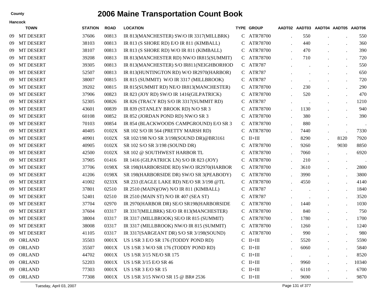|    | <b>Hancock</b>   |                |             |                                            |   |                   |         |                                    |       |
|----|------------------|----------------|-------------|--------------------------------------------|---|-------------------|---------|------------------------------------|-------|
|    | <b>TOWN</b>      | <b>STATION</b> | <b>ROAD</b> | <b>LOCATION</b>                            |   | <b>TYPE GROUP</b> |         | AADT02 AADT03 AADT04 AADT05 AADT06 |       |
| 09 | <b>MT DESERT</b> | 37606          | 00813       | IR 813(MANCHESTER) SW/O IR 3317(MILLBRK)   | C | ATR78700          | 550     |                                    | 550   |
| 09 | <b>MT DESERT</b> | 38103          | 00813       | IR 813 (S SHORE RD) E/O IR 811 (KIMBALL)   | C | ATR78700          | 440     |                                    | 360   |
| 09 | <b>MT DESERT</b> | 38107          | 00813       | IR 813 (S SHORE RD) W/O IR 811 (KIMBALL)   | C | ATR78700          | 470     |                                    | 390   |
| 09 | <b>MT DESERT</b> | 39208          | 00813       | IR 813(MANCHESTER RD) NW/O IR815(SUMMIT)   | C | ATR78700          | 710     |                                    | 720   |
| 09 | <b>MT DESERT</b> | 39305          | 00813       | IR 813(MANCHESTER) S/O IR811(NEIGHBORHOD   |   | C ATR787          |         |                                    | 550   |
| 09 | <b>MT DESERT</b> | 52507          | 00813       | IR 813(HUNTINGTON RD) W/O IR2970(HARBOR)   |   | C ATR787          |         |                                    | 650   |
| 09 | <b>MT DESERT</b> | 38007          | 00815       | IR 815 (SUMMIT) W/O IR 3317 (MILLBROOK)    | C | <b>ATR787</b>     |         | $\bullet$                          | 720   |
| 09 | <b>MT DESERT</b> | 39202          | 00815       | IR 815(SUMMIT RD) NE/O IR813(MANCHESTER)   | C | ATR78700          | 230     |                                    | 290   |
| 09 | <b>MT DESERT</b> | 37906          | 00823       | IR 823 (JOY RD) SW/O IR 1416(GILPATRICK)   | C | ATR78700          | 520     | $\cdot$                            | 470   |
| 09 | <b>MT DESERT</b> | 52305          | 00826       | IR 826 (TRACY RD) S/O IR 3317 (SUMMIT RD)  | C | <b>ATR787</b>     | $\cdot$ | $\bullet$                          | 1210  |
| 09 | <b>MT DESERT</b> | 43601          | 00839       | IR 839 (STANLEY BROOK RD) N/O SR 3         | C | ATR78700          | 1130    | $\bullet$                          | 940   |
| 09 | <b>MT DESERT</b> | 60108          | 00852       | IR 852 (JORDAN POND RD) NW/O SR 3          | C | ATR78700          | 380     |                                    | 390   |
| 09 | <b>MT DESERT</b> | 70103          | 00854       | IR 854 (BLACKWOODS CAMPGROUND) E/O SR 3    | C | ATR78700          | 880     | $\bullet$                          |       |
| 09 | <b>MT DESERT</b> | 40405          | 0102X       | SR 102 S/O IR 564 (PRETTY MARSH RD)        | C | ATR78700          | 7440    | $\bullet$                          | 7330  |
| 09 | <b>MT DESERT</b> | 40901          | 0102X       | SR 102/198 N/O SR 3/198(SOUND DR)@BR3161   | C | $II+III$          | 8290    | 8120                               | 7920  |
| 09 | <b>MT DESERT</b> | 40905          | 0102X       | SR 102 S/O SR 3/198 (SOUND DR)             | C | ATR78700          | 9260    | 9030                               | 8850  |
| 09 | <b>MT DESERT</b> | 42500          | 0102X       | SR 102 @ SOUTHWEST HARBOR TL               | C | ATR78700          | 7060    |                                    | 6920  |
| 09 | <b>MT DESERT</b> | 37905          | 01416       | IR 1416 (GILPATRICK LN) S/O IR 823 (JOY)   | C | ATR78700          | 210     | $\bullet$                          |       |
| 09 | <b>MT DESERT</b> | 37706          | 0198X       | SR 198(HARBORSIDE RD) SW/O IR2970(HARBOR   |   | C ATR78700        | 3610    | $\bullet$                          | 2800  |
| 09 | <b>MT DESERT</b> | 41206          | 0198X       | SR 198(HARBORSIDE DR) SW/O SR 3(PEABODY)   | C | ATR78700          | 3990    | $\bullet$                          | 3800  |
| 09 | <b>MT DESERT</b> | 41002          | 0233X       | SR 233 (EAGLE LAKE RD) NE/O SR 3/198 @TL   | C | ATR78700          | 4550    | $\cdot$                            | 4140  |
| 09 | <b>MT DESERT</b> | 37801          | 02510       | IR 2510 (MAIN)(OW) N/O IR 811 (KIMBALL)    | C | <b>ATR787</b>     |         | $\bullet$                          | 1840  |
| 09 | <b>MT DESERT</b> | 52401          | 02510       | IR 2510 (MAIN ST) N/O IR 407 (SEA ST)      | C | <b>ATR787</b>     |         | $\bullet$                          | 3520  |
| 09 | <b>MT DESERT</b> | 37704          | 02970       | IR 2970(HARBOR DR) SE/O SR198(HARBORSIDE   | C | ATR78700          | 1440    | $\ddot{\phantom{a}}$               | 1030  |
| 09 | <b>MT DESERT</b> | 37604          | 03317       | IR 3317(MILLBRK) SE/O IR 813(MANCHESTER)   | C | ATR78700          | 840     | $\cdot$                            | 750   |
| 09 | <b>MT DESERT</b> | 38004          | 03317       | IR 3317 (MILLBROOK) SE/O IR 815 (SUMMIT)   | C | ATR78700          | 1780    | $\bullet$                          | 1700  |
| 09 | <b>MT DESERT</b> | 38008          | 03317       | IR 3317 (MILLBROOK) NW/O IR 815 (SUMMIT)   | C | ATR78700          | 1260    | $\bullet$                          | 1240  |
| 09 | <b>MT DESERT</b> | 41105          | 03317       | IR 3317(SARGEANT DR) S/O SR 3/198(SOUND)   |   | ATR78700          | 990     |                                    | 980   |
| 09 | ORLAND           | 35503          |             | 0001X US 1/SR 3 E/O SR 176 (TODDY POND RD) |   | $C$ II+III        | 5520    |                                    | 5590  |
| 09 | <b>ORLAND</b>    | 35507          | 0001X       | US 1/SR 3 W/O SR 176 (TODDY POND RD)       |   | $C$ II+III        | 6060    |                                    | 5840  |
| 09 | <b>ORLAND</b>    | 44702          | 0001X       | US 1/SR 3/15 NE/O SR 175                   |   | $C$ II+III        |         | $\bullet$                          | 8520  |
| 09 | <b>ORLAND</b>    | 52203          | 0001X       | US 1/SR 3/15 E/O SR 46                     |   | $C$ II+III        | 9960    | $\ddot{\phantom{a}}$               | 10340 |
| 09 | <b>ORLAND</b>    | 77303          | 0001X       | <b>US 1/SR 3 E/O SR 15</b>                 |   | $C$ II+III        | 6110    | $\bullet$                          | 6700  |
| 09 | <b>ORLAND</b>    | 77308          | 0001X       | US 1/SR 3/15 NW/O SR 15 @ BR# 2536         |   | $C$ II+III        | 9690    |                                    | 9870  |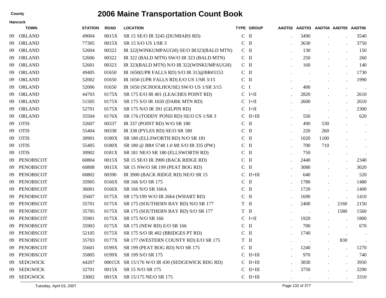|    | <b>Hancock</b>   |                |             |                                                |                   |                   |      |      |                                    |                |
|----|------------------|----------------|-------------|------------------------------------------------|-------------------|-------------------|------|------|------------------------------------|----------------|
|    | <b>TOWN</b>      | <b>STATION</b> | <b>ROAD</b> | <b>LOCATION</b>                                |                   | <b>TYPE GROUP</b> |      |      | AADT02 AADT03 AADT04 AADT05 AADT06 |                |
| 09 | <b>ORLAND</b>    | 49004          | 0015X       | SR 15 SE/O IR 3245 (DUNBARS RD)                | $C$ II            |                   | 3490 |      |                                    | 3540           |
| 09 | <b>ORLAND</b>    | 77305          | 0015X       | SR 15 S/O US 1/SR 3                            | $\mathcal{C}$     | $\mathbf{I}$      | 3630 |      |                                    | 3750           |
| 09 | <b>ORLAND</b>    | 52604          | 00322       | IR 322(WINKUMPAUGH) SE/O IR323(BALD MTN)       | $C$ II            |                   | 130  |      | $\bullet$                          | 150            |
| 09 | <b>ORLAND</b>    | 52606          | 00322       | IR 322 (BALD MTN) SW/O IR 323 (BALD MTN)       | $C$ II            |                   | 250  |      | $\bullet$                          | 260            |
| 09 | <b>ORLAND</b>    | 52601          | 00323       | IR 323(BALD MTN) N/O IR 322(WINKUMPAUGH)       | $C$ II            |                   | 160  |      | $\bullet$                          | 140            |
| 09 | <b>ORLAND</b>    | 49405          | 01650       | IR 1650(UPR FALLS RD) S/O IR 313@BR#3153       | $C$ II            |                   |      |      | $\bullet$                          | 1730           |
| 09 | <b>ORLAND</b>    | 52002          | 01650       | IR 1650 (UPR FALLS RD) E/O US 1/SR 3/15        | $C$ II            |                   |      |      |                                    | 1990           |
| 09 | <b>ORLAND</b>    | 52006          | 01650       | IR 1650 (SCHOOLHOUSE) SW/O US 1/SR 3/15        | $\mathsf{C}$      | $\mathbf I$       | 400  |      | $\bullet$                          | $\blacksquare$ |
| 09 | <b>ORLAND</b>    | 44703          | 0175X       | SR 175 E/O IR 401 (LEACHES POINT RD)           |                   | $C$ I+II          | 2820 |      |                                    | 2610           |
| 09 | <b>ORLAND</b>    | 51505          | 0175X       | SR 175 S/O IR 1650 (DARK MTN RD)               | C                 | $I+II$            | 2600 |      |                                    | 2610           |
| 09 | <b>ORLAND</b>    | 52701          | 0175X       | SR 175 N/O IR 391 (GILPIN RD)                  | C                 | $I+II$            |      |      |                                    | 2300           |
| 09 | <b>ORLAND</b>    | 35504          | 0176X       | SR 176 (TODDY POND RD) SE/O US 1/SR 3          | C                 | $II+III$          | 550  |      |                                    | 620            |
| 09 | <b>OTIS</b>      | 32607          | 00337       | IR 337 (POINT RD) W/O SR 180                   | $C$ II            |                   | 490  | 530  |                                    | $\bullet$      |
| 09 | <b>OTIS</b>      | 55404          | 00338       | IR 338 (PYLES RD) SE/O SR 180                  | $\mathcal{C}$     | $\mathbf{I}$      | 220  | 260  |                                    | $\bullet$      |
| 09 | <b>OTIS</b>      | 30901          | 0180X       | SR 180 (ELLSWORTH RD) N/O SR 181               | $\mathbf{C}$      | $\mathbf{I}$      | 1020 | 1100 |                                    | $\sim$         |
| 09 | <b>OTIS</b>      | 55405          | 0180X       | SR 180 @ BR# 5748 1.0 MI S/O IR 335 (PW)       | C                 | $\mathbf{I}$      | 700  | 710  |                                    | $\bullet$      |
| 09 | <b>OTIS</b>      | 30902          | 0181X       | SR 181 NE/O SR 180 (ELLSWORTH RD)              | C                 | $\mathbf{I}$      | 750  |      |                                    |                |
| 09 | <b>PENOBSCOT</b> | 60804          | 0015X       | SR 15 SE/O IR 3900 (BACK RIDGE RD)             | C                 | $\mathbf{I}$      | 2440 |      |                                    | 2340           |
| 09 | <b>PENOBSCOT</b> | 60808          | 0015X       | SR 15 NW/O SR 199 (PEAT BOG RD)                | $\mathbf{C}$      | $\mathbf{I}$      | 3080 |      |                                    | 3020           |
| 09 | <b>PENOBSCOT</b> | 60802          | 00390       | IR 3900 (BACK RIDGE RD) NE/O SR 15             | $\mathcal{C}$     | $II+III$          | 640  |      |                                    | 520            |
| 09 | <b>PENOBSCOT</b> | 35905          | 0166X       | SR 166 S/O SR 175                              | $C$ II            |                   | 1780 |      | $\bullet$                          | 1480           |
| 09 | <b>PENOBSCOT</b> | 36001          | 0166X       | SR 166 N/O SR 166A                             | C                 | $\mathbf{I}$      | 1720 |      | $\ddot{\phantom{a}}$               | 1400           |
| 09 | <b>PENOBSCOT</b> | 35607          | 0175X       | SR 175/199 W/O IR 2664 (WHART RD)              | $C$ II            |                   | 1690 |      | $\bullet$                          | 1410           |
| 09 | <b>PENOBSCOT</b> | 35701          | 0175X       | SR 175 (SOUTHERN BAY RD) N/O SR 177            | T II              |                   | 2400 |      | 2160                               | 2150           |
| 09 | <b>PENOBSCOT</b> | 35705          | 0175X       | SR 175 (SOUTHERN BAY RD) S/O SR 177            | T II              |                   |      |      | 1580                               | 1560           |
| 09 | <b>PENOBSCOT</b> | 35901          | 0175X       | SR 175 N/O SR 166                              |                   | $C$ I+II          | 1920 |      | $\ddot{\phantom{a}}$               | 1800           |
| 09 | PENOBSCOT        | 35903          | 0175X       | SR 175 (NEW RD) E/O SR 166                     | $C$ II            |                   | 700  |      |                                    | 670            |
| 09 | PENOBSCOT        | 52105          | 0175X       | SR 175 S/O IR 402 (BRIDGES PT RD)              | C                 | Ш                 | 1740 |      |                                    | $\,$ .         |
|    | 09 PENOBSCOT     | 35703          |             | 0177X SR 177 (WESTERN COUNTY RD) E/O SR 175    | ${\bf T}$ $\;$ II |                   |      |      | 830                                | $\bullet$      |
| 09 | PENOBSCOT        | 35601          | 0199X       | SR 199 (PEAT BOG RD) N/O SR 175                | $C$ II            |                   | 1240 |      |                                    | 1270           |
| 09 | PENOBSCOT        | 35805          | 0199X       | SR 199 S/O SR 175                              |                   | $C$ II+III        | 970  |      | $\bullet$                          | 740            |
| 09 | <b>SEDGWICK</b>  | 44207          |             | 00015X SR 15/176 W/O IR 430 (SEDGEWICK RDG RD) |                   | $C$ II+III        | 3830 |      | $\bullet$                          | 3950           |
| 09 | <b>SEDGWICK</b>  | 32701          | 0015X       | SR 15 N/O SR 175                               |                   | $C$ II+III        | 3750 |      |                                    | 3290           |
| 09 | <b>SEDGWICK</b>  | 33002          | 0015X       | SR 15/175 NE/O SR 175                          |                   | $C$ II+III        |      |      |                                    | 3310           |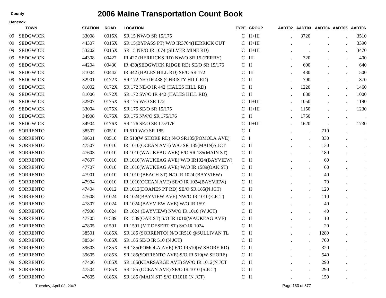|     | Hancock         |                |             |                                          |                |                   |                                    |         |           |               |
|-----|-----------------|----------------|-------------|------------------------------------------|----------------|-------------------|------------------------------------|---------|-----------|---------------|
|     | <b>TOWN</b>     | <b>STATION</b> | <b>ROAD</b> | <b>LOCATION</b>                          |                | <b>TYPE GROUP</b> | AADT02 AADT03 AADT04 AADT05 AADT06 |         |           |               |
| 09  | <b>SEDGWICK</b> | 33008          | 0015X       | SR 15 NW/O SR 15/175                     |                | $C$ II+III        | 3720                               |         |           | 3510          |
| 09  | <b>SEDGWICK</b> | 44307          | 0015X       | SR 15(BYPASS PT) W/O IR3764(HERRICK CUT  |                | $C$ II+III        |                                    |         |           | 3390          |
| 09  | <b>SEDGWICK</b> | 53202          | 0015X       | SR 15 NE/O IR 1074 (SILVER MINE RD)      |                | $C$ II+III        |                                    |         |           | 3470          |
| 09  | <b>SEDGWICK</b> | 44308          | 00427       | IR 427 (HERRICKS RD) NW/O SR 15 (FERRY)  |                | $C$ III           | 320                                |         |           | 400           |
| -09 | <b>SEDGWICK</b> | 44204          | 00430       | IR 430(SEDGWICK RIDGE RD) SE/O SR 15/176 | $C$ II         |                   | 600                                |         | $\bullet$ | 640           |
| 09  | <b>SEDGWICK</b> | 81004          | 00442       | IR 442 (HALES HILL RD) SE/O SR 172       | C              | $\mathbf{III}$    | 480                                |         |           | 500           |
| 09  | <b>SEDGWICK</b> | 32901          | 0172X       | SR 172 N/O IR 438 (CHRISTY HILL RD)      | $\mathbf{C}$   | $\mathbf{I}$      | 790                                |         |           | 870           |
| 09  | <b>SEDGWICK</b> | 81002          | 0172X       | SR 172 NE/O IR 442 (HALES HILL RD)       | C              | $\mathbf{I}$      | 1220                               |         |           | 1460          |
| 09  | <b>SEDGWICK</b> | 81006          | 0172X       | SR 172 SW/O IR 442 (HALES HILL RD)       | $C$ II         |                   | 880                                |         |           | 1000          |
| 09  | <b>SEDGWICK</b> | 32907          | 0175X       | SR 175 W/O SR 172                        |                | $C$ II+III        | 1050                               |         |           | 1190          |
| 09  | <b>SEDGWICK</b> | 33004          | 0175X       | SR 175 SE/O SR 15/175                    |                | $C$ II+III        | 1150                               |         |           | 1230          |
| 09  | <b>SEDGWICK</b> | 34908          | 0175X       | SR 175 NW/O SR 175/176                   | $C$ II         |                   | 1750                               | $\cdot$ |           | $\sim$ $\sim$ |
| -09 | <b>SEDGWICK</b> | 34904          | 0176X       | SR 176 SE/O SR 175/176                   |                | $C$ II+III        | 1620                               |         |           | 1730          |
| 09  | <b>SORRENTO</b> | 38507          | 00510       | IR 510 W/O SR 185                        | C <sub>1</sub> |                   |                                    | 710     |           | $\bullet$     |
| 09  | <b>SORRENTO</b> | 39601          | 00510       | IR 510(W SHORE RD) N/O SR185(POMOLA AVE) | C <sub>1</sub> |                   | $\ddot{\phantom{0}}$               | 330     |           | $\bullet$     |
| 09  | <b>SORRENTO</b> | 47507          | 01010       | IR 1010(OCEAN AVE) W/O SR 185(MAIN)S JCT | $C$ II         |                   |                                    | 130     |           | $\bullet$     |
| 09  | <b>SORRENTO</b> | 47603          | 01010       | IR 1010(WAUKEAG AVE) E/O SR 185(MAIN ST) | $C$ II         |                   |                                    | 180     |           | $\bullet$     |
| 09  | <b>SORRENTO</b> | 47607          | 01010       | IR 1010(WAUKEAG AVE) W/O IR1024(BAYVIEW) | $C$ II         |                   |                                    | 60      |           | $\bullet$     |
| 09  | <b>SORRENTO</b> | 47707          | 01010       | IR 1010(WAUKEAG AVE) W/O IR 1589(OAK ST) | $C$ II         |                   | $\ddot{\phantom{0}}$               | 60      |           |               |
| 09  | <b>SORRENTO</b> | 47901          | 01010       | IR 1010 (BEACH ST) N/O IR 1024 (BAYVIEW) | $C$ II         |                   |                                    | 40      |           | $\bullet$     |
| 09  | <b>SORRENTO</b> | 47904          | 01010       | IR 1010(OCEAN AVE) SE/O IR 1024(BAYVIEW) | $C$ II         |                   |                                    | 70      |           |               |
| 09  | <b>SORRENTO</b> | 47404          | 01012       | IR 1012(DOANES PT RD) SE/O SR 185(N JCT) | $C$ II         |                   |                                    | 120     |           | $\bullet$     |
| 09  | <b>SORRENTO</b> | 47608          | 01024       | IR 1024(BAYVIEW AVE) NW/O IR 1010(E JCT) | $C$ II         |                   | $\cdot$                            | 110     |           |               |
| 09  | <b>SORRENTO</b> | 47807          | 01024       | IR 1024 (BAYVIEW AVE) W/O IR 1591        | $\mathsf{C}$   | $\mathbf{I}$      |                                    | 40      |           | $\bullet$     |
| 09  | <b>SORRENTO</b> | 47908          | 01024       | IR 1024 (BAYVIEW) NW/O IR 1010 (W JCT)   | $C$ II         |                   |                                    | 40      |           | $\bullet$     |
| 09  | <b>SORRENTO</b> | 47705          | 01589       | IR 1589(OAK ST) S/O IR 1010(WAUKEAG AVE) | $C$ II         |                   | $\ddot{\phantom{0}}$               | 10      |           | $\bullet$     |
| 09  | <b>SORRENTO</b> | 47805          | 01591       | IR 1591 (MT DESERT ST) S/O IR 1024       | $C$ II         |                   |                                    | 20      |           |               |
| 09  | <b>SORRENTO</b> | 38501          | 0185X       | SR 185 (SORRENTO) N/O IR510 @SULLIVAN TL | $C$ II         |                   |                                    | 1280    |           |               |
| 09  | <b>SORRENTO</b> | 38504          |             | 0185X SR 185 SE/O IR 510 (N JCT)         | $C$ II         |                   |                                    | 700     |           | $\bullet$     |
| 09  | <b>SORRENTO</b> | 39603          | 0185X       | SR 185(POMOLA AVE) E/O IR510(W SHORE RD) | $\rm C~$ II    |                   |                                    | 320     |           | $\bullet$     |
| 09  | <b>SORRENTO</b> | 39605          | 0185X       | SR 185(SORRENTO AVE) S/O IR 510(W SHORE) | $\mathbf C$ II |                   |                                    | 540     |           | $\bullet$     |
| 09  | <b>SORRENTO</b> | 47406          | 0185X       | SR 185(KEARSARGE AVE) SW/O IR 1012(N JCT | $C$ II         |                   |                                    | 290     |           | $\bullet$     |
| 09  | <b>SORRENTO</b> | 47504          | 0185X       | SR 185 (OCEAN AVE) SE/O IR 1010 (S JCT)  | $\mathbf C$ II |                   | $\cdot$                            | 290     |           | $\bullet$     |
| 09  | <b>SORRENTO</b> | 47605          | 0185X       | SR 185 (MAIN ST) S/O IR1010 (N JCT)      | $C$ II         |                   |                                    | 150     |           | $\sim$        |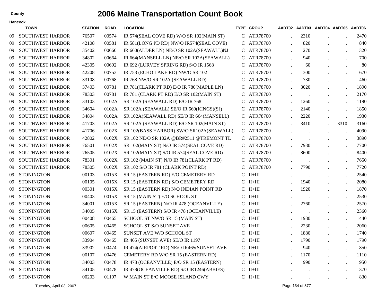| <b>Hancock</b> |  |
|----------------|--|
| <b>TOWN</b>    |  |

|    | TOWN                    | <b>STATION</b> | <b>ROAD</b> | <b>LOCATION</b>                           |              | <b>TYPE GROUP</b> |                      |                      |                      | AADT02 AADT03 AADT04 AADT05 AADT06 |      |
|----|-------------------------|----------------|-------------|-------------------------------------------|--------------|-------------------|----------------------|----------------------|----------------------|------------------------------------|------|
| 09 | <b>SOUTHWEST HARBOR</b> | 76507          | 00574       | IR 574(SEAL COVE RD) W/O SR 102(MAIN ST)  |              | C ATR78700        |                      | 2310                 |                      |                                    | 2470 |
| 09 | <b>SOUTHWEST HARBOR</b> | 42108          | 00581       | IR 581(LONG PD RD) NW/O IR574(SEAL COVE)  | $\mathbf{C}$ | ATR78700          |                      | 820                  |                      |                                    | 840  |
| 09 | <b>SOUTHWEST HARBOR</b> | 35402          | 00660       | IR 660(ALDER LN) NE/O SR 102A(SEAWALL)NJ  |              | C ATR78700        |                      | 270                  |                      |                                    | 320  |
| 09 | <b>SOUTHWEST HARBOR</b> | 34802          | 00664       | IR 664(MANSELL LN) NE/O SR 102A(SEAWALL)  |              | C ATR78700        |                      | 940                  |                      |                                    | 700  |
| 09 | <b>SOUTHWEST HARBOR</b> | 42305          | 00692       | IR 692 (LURVEY SPRING RD) S/O IR 1568     |              | C ATR78700        |                      | 60                   |                      |                                    | 80   |
| 09 | <b>SOUTHWEST HARBOR</b> | 42208          | 00753       | IR 753 (ECHO LAKE RD) NW/O SR 102         |              | C ATR78700        | $\overline{a}$       | 300                  |                      |                                    | 670  |
| 09 | <b>SOUTHWEST HARBOR</b> | 33108          | 00768       | IR 768 NW/O SR 102A (SEAWALL RD)          | C.           | ATR78700          |                      | 730                  |                      |                                    | 460  |
| 09 | <b>SOUTHWEST HARBOR</b> | 37403          | 00781       | IR 781(CLARK PT RD) E/O IR 780(MAPLE LN)  |              | C ATR78700        | $\cdot$              | 3020                 | $\ddot{\phantom{a}}$ |                                    | 1890 |
| 09 | <b>SOUTHWEST HARBOR</b> | 78303          | 00781       | IR 781 (CLARK PT RD) E/O SR 102(MAIN ST)  |              | C ATR78700        |                      |                      |                      |                                    | 2170 |
| 09 | <b>SOUTHWEST HARBOR</b> | 33103          | 0102A       | SR 102A (SEAWALL RD) E/O IR 768           | C            | ATR78700          |                      | 1260                 |                      |                                    | 1190 |
| 09 | <b>SOUTHWEST HARBOR</b> | 34604          | 0102A       | SR 102A (SEAWALL) SE/O IR 660(KINGS)(SJ)  |              | C ATR78700        |                      | 2140                 |                      |                                    | 1850 |
| 09 | <b>SOUTHWEST HARBOR</b> | 34804          | 0102A       | SR 102A(SEAWALL RD) SE/O IR 664(MANSELL)  |              | C ATR78700        |                      | 2220                 | $\ddot{\phantom{a}}$ |                                    | 1930 |
| 09 | <b>SOUTHWEST HARBOR</b> | 41703          | 0102A       | SR 102A (SEAWALL RD) E/O SR 102(MAIN ST)  |              | C ATR78700        |                      | 3410                 |                      | 3310                               | 3160 |
| 09 | <b>SOUTHWEST HARBOR</b> | 41706          | 0102X       | SR 102(BASS HARBOR) SW/O SR102A(SEAWALL)  |              | C ATR78700        |                      | $\ddot{\phantom{0}}$ |                      |                                    | 4090 |
| 09 | <b>SOUTHWEST HARBOR</b> | 42802          | 0102X       | SR 102 NE/O SR 102A @BR#2511 @TREMONT TL  |              | C ATR78700        |                      | $\overline{a}$       | $\overline{a}$       |                                    | 3890 |
| 09 | <b>SOUTHWEST HARBOR</b> | 76501          | 0102X       | SR 102(MAIN ST) N/O IR 574(SEAL COVE RD)  |              | C ATR78700        |                      | 7930                 |                      |                                    | 7700 |
| 09 | <b>SOUTHWEST HARBOR</b> | 76505          | 0102X       | SR 102(MAIN ST) S/O IR 574(SEAL COVE RD)  | C            | ATR78700          |                      | 8600                 |                      |                                    | 8400 |
| 09 | <b>SOUTHWEST HARBOR</b> | 78301          | 0102X       | SR 102 (MAIN ST) N/O IR 781 (CLARK PT RD) |              | C ATR78700        |                      |                      |                      |                                    | 7650 |
| 09 | <b>SOUTHWEST HARBOR</b> | 78305          | 0102X       | SR 102 S/O IR 781 (CLARK POINT RD)        | C            | ATR78700          |                      | 7790                 |                      |                                    | 7720 |
| 09 | <b>STONINGTON</b>       | 00103          | 0015X       | SR 15 (EASTERN RD) E/O CEMETERY RD        |              | $C$ II+III        | $\bullet$            |                      |                      |                                    | 2540 |
| 09 | <b>STONINGTON</b>       | 00105          | 0015X       | SR 15 (EASTERN RD) S/O CEMETERY RD        |              | $C$ II+III        |                      | 1940                 |                      |                                    | 2080 |
| 09 | <b>STONINGTON</b>       | 00301          | 0015X       | SR 15 (EASTERN RD) N/O INDIAN POINT RD    |              | $C$ II+III        |                      | 1920                 | $\ddot{\phantom{a}}$ |                                    | 1870 |
| 09 | <b>STONINGTON</b>       | 00403          | 0015X       | SR 15 (MAIN ST) E/O SCHOOL ST             |              | $C$ II+III        | $\bullet$            | $\ddot{\phantom{1}}$ |                      |                                    | 2530 |
| 09 | <b>STONINGTON</b>       | 34001          | 0015X       | SR 15 (EASTERN) N/O IR 478 (OCEANVILLE)   |              | $C$ II+III        |                      | 2760                 |                      |                                    | 2570 |
| 09 | <b>STONINGTON</b>       | 34005          | 0015X       | SR 15 (EASTERN) S/O IR 478 (OCEANVILLE)   |              | $C$ II+III        | $\ddot{\phantom{a}}$ |                      | $\ddot{\phantom{a}}$ |                                    | 2360 |
| 09 | <b>STONINGTON</b>       | 00408          | 00465       | SCHOOL ST NW/O SR 15 (MAIN ST)            |              | $C$ II+III        |                      | 1980                 |                      |                                    | 1440 |
| 09 | <b>STONINGTON</b>       | 00605          | 00465       | SCHOOL ST S/O SUNSET AVE                  |              | $C$ II+III        |                      | 2230                 | $\ddot{\phantom{0}}$ |                                    | 2060 |
| 09 | <b>STONINGTON</b>       | 00607          | 00465       | SUNSET AVE W/O SCHOOL ST                  |              | $C$ II+III        |                      | 1880                 |                      |                                    | 1740 |
| 09 | <b>STONINGTON</b>       | 33904          | 00465       | IR 465 (SUNSET AVE) SE/O IR 1197          |              | $C$ II+III        |                      | 1790                 | $\ddot{\phantom{a}}$ |                                    | 1790 |
| 09 | <b>STONINGTON</b>       | 33902          | 00474       | IR 474(AIRPORT RD) NE/O IR465(SUNSET AVE  |              | $C$ II+III        |                      | 940                  |                      |                                    | 850  |
| 09 | <b>STONINGTON</b>       | 00107          | 00476       | CEMETERY RD W/O SR 15 (EASTERN RD)        |              | $C$ II+III        |                      | 1170                 |                      |                                    | 1110 |
| 09 | <b>STONINGTON</b>       | 34003          | 00478       | IR 478 (OCEANVILLE) E/O SR 15 (EASTERN)   |              | $C$ II+III        |                      | 990                  |                      |                                    | 950  |
| 09 | <b>STONINGTON</b>       | 34105          | 00478       | IR 478(OCEANVILLE RD) S/O IR1246(ABBIES)  |              | $C$ II+III        |                      |                      |                      |                                    | 370  |
| 09 | <b>STONINGTON</b>       | 00203          | 01197       | W MAIN ST E/O MOOSE ISLAND CWY            |              | $C$ II+III        |                      | $\bullet$            | $\bullet$            |                                    | 830  |
|    |                         |                |             |                                           |              |                   |                      |                      |                      |                                    |      |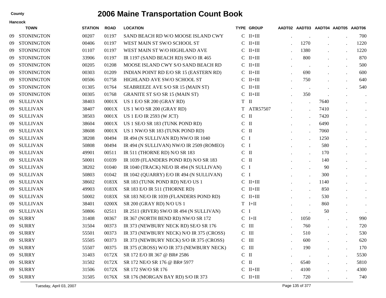|    | <b>TOWN</b>       | <b>STATION</b> | <b>ROAD</b> | <b>LOCATION</b>                          |                | <b>TYPE GROUP</b> |                      | AADT02 AADT03 AADT04 AADT05 AADT06 |                      |                      |
|----|-------------------|----------------|-------------|------------------------------------------|----------------|-------------------|----------------------|------------------------------------|----------------------|----------------------|
| 09 | <b>STONINGTON</b> | 00207          | 01197       | SAND BEACH RD W/O MOOSE ISLAND CWY       |                | $C$ II+III        |                      |                                    |                      | 700                  |
| 09 | <b>STONINGTON</b> | 00406          | 01197       | WEST MAIN ST SW/O SCHOOL ST              |                | $C$ II+III        | 1270                 |                                    | $\ddot{\phantom{a}}$ | 1220                 |
| 09 | <b>STONINGTON</b> | 01107          | 01197       | WEST MAIN ST W/O HIGHLAND AVE            | C              | $II+III$          | 1380                 |                                    |                      | 1220                 |
| 09 | <b>STONINGTON</b> | 33906          | 01197       | IR 1197 (SAND BEACH RD) SW/O IR 465      | C              | $II+III$          | 800                  | $\overline{a}$                     | $\overline{a}$       | 870                  |
| 09 | <b>STONINGTON</b> | 00205          | 01208       | MOOSE ISLAND CWY S/O SAND BEACH RD       |                | $C$ II+III        | $\bullet$            |                                    |                      | 500                  |
| 09 | <b>STONINGTON</b> | 00303          | 01209       | INDIAN POINT RD E/O SR 15 (EASTERN RD)   |                | $C$ II+III        | 690                  |                                    | $\ddot{\phantom{a}}$ | 600                  |
| 09 | <b>STONINGTON</b> | 00506          | 01758       | HIGHLAND AVE SW/O SCHOOL ST              |                | $C$ II+III        | 750                  |                                    | $\bullet$            | 640                  |
| 09 | <b>STONINGTON</b> | 01305          | 01764       | SEABREEZE AVE S/O SR 15 (MAIN ST)        |                | $C$ II+III        | $\blacksquare$       |                                    |                      | 540                  |
| 09 | <b>STONINGTON</b> | 00305          | 01768       | <b>GRANITE ST S/O SR 15 (MAIN ST)</b>    |                | $C$ II+III        | 350                  |                                    | $\bullet$            | $\bullet$            |
| 09 | <b>SULLIVAN</b>   | 38403          | 0001X       | <b>US 1 E/O SR 200 (GRAY RD)</b>         | T II           |                   | $\ddot{\phantom{a}}$ | 7640                               |                      | $\cdot$              |
| 09 | <b>SULLIVAN</b>   | 38407          | 0001X       | US 1 W/O SR 200 (GRAY RD)                |                | T ATR57507        | $\ddot{\phantom{a}}$ | 7410                               |                      | $\cdot$              |
| 09 | <b>SULLIVAN</b>   | 38503          | 0001X       | US 1 E/O IR 2593 (W JCT)                 | $C$ II         |                   | $\ddot{\phantom{a}}$ | 7420                               |                      | $\bullet$            |
| 09 | <b>SULLIVAN</b>   | 38604          | 0001X       | US 1 SE/O SR 183 (TUNK POND RD)          | $C$ II         |                   | $\cdot$              | 6490                               |                      |                      |
| 09 | <b>SULLIVAN</b>   | 38608          | 0001X       | US 1 NW/O SR 183 (TUNK POND RD)          | $C$ II         |                   | $\ddot{\phantom{a}}$ | 7060                               |                      | $\ddot{\phantom{a}}$ |
| 09 | <b>SULLIVAN</b>   | 38208          | 00494       | IR 494 (N SULLIVAN RD) NW/O IR 1040      | $C$ I          |                   | $\ddot{\phantom{a}}$ | 1250                               |                      | $\bullet$            |
| 09 | <b>SULLIVAN</b>   | 50808          | 00494       | IR 494 (N SULLIVAN) NW/O IR 2509 (ROMEO) | $C$ I          |                   | $\cdot$              | 580                                |                      | $\bullet$            |
| 09 | <b>SULLIVAN</b>   | 49901          | 00511       | IR 511 (THORNE RD) N/O SR 183            | $C$ II         |                   | $\ddot{\phantom{a}}$ | 170                                |                      | $\cdot$              |
| 09 | <b>SULLIVAN</b>   | 50001          | 01039       | IR 1039 (FLANDERS POND RD) N/O SR 183    | $C$ II         |                   | $\ddot{\phantom{a}}$ | 140                                |                      | $\ddot{\phantom{0}}$ |
| 09 | <b>SULLIVAN</b>   | 38202          | 01040       | IR 1040 (TRACK) NE/O IR 494 (N SULLIVAN) | C <sub>1</sub> |                   | $\ddot{\phantom{a}}$ | 90                                 |                      | $\bullet$            |
| 09 | <b>SULLIVAN</b>   | 50803          | 01042       | IR 1042 (QUARRY) E/O IR 494 (N SULLIVAN) | C <sub>1</sub> |                   | $\cdot$              | 300                                |                      |                      |
| 09 | <b>SULLIVAN</b>   | 38602          | 0183X       | SR 183 (TUNK POND RD) NE/O US 1          |                | $C$ II+III        | $\ddot{\phantom{a}}$ | 1140                               |                      | $\bullet$            |
| 09 | <b>SULLIVAN</b>   | 49903          | 0183X       | SR 183 E/O IR 511 (THORNE RD)            |                | $C$ II+III        | $\ddot{\phantom{0}}$ | 850                                |                      | $\bullet$            |
| 09 | <b>SULLIVAN</b>   | 50002          | 0183X       | SR 183 NE/O IR 1039 (FLANDERS POND RD)   |                | $C$ II+III        | $\cdot$              | 530                                |                      | $\bullet$            |
| 09 | <b>SULLIVAN</b>   | 38401          | 0200X       | SR 200 (GRAY RD) N/O US 1                |                | $T$ I+II          | $\ddot{\phantom{a}}$ | 860                                |                      | $\cdot$              |
| 09 | <b>SULLIVAN</b>   | 50806          | 02511       | IR 2511 (RIVER) SW/O IR 494 (N SULLIVAN) | C <sub>I</sub> |                   | $\ddot{\phantom{a}}$ | 50                                 | $\ddot{\phantom{a}}$ |                      |
| 09 | <b>SURRY</b>      | 31408          | 00367       | IR 367 (NORTH BEND RD) NW/O SR 172       |                | $C$ I+II          | 1050                 |                                    |                      | 990                  |
| 09 | <b>SURRY</b>      | 31504          | 00373       | IR 373 (NEWBURY NECK RD) SE/O SR 176     | $C$ III        |                   | 760                  |                                    | $\bullet$            | 720                  |
| 09 | <b>SURRY</b>      | 55501          | 00373       | IR 373 (NEWBURY NECK) N/O IR 375 (CROSS) | $C$ III        |                   | 510                  |                                    | $\bullet$            | 530                  |
| 09 | <b>SURRY</b>      | 55505          | 00373       | IR 373 (NEWBURY NECK) S/O IR 375 (CROSS) | $C$ III        |                   | 600                  |                                    | $\bullet$            | 620                  |
| 09 | <b>SURRY</b>      | 55507          | 00375       | IR 375 (CROSS) W/O IR 373 (NEWBURY NECK) | $C$ III        |                   | 190                  |                                    | $\blacksquare$       | 170                  |
| 09 | <b>SURRY</b>      | 31403          | 0172X       | SR 172 E/O IR 367 @ BR# 2586             | $C$ II         |                   | $\cdot$              |                                    | $\bullet$            | 5530                 |
| 09 | <b>SURRY</b>      | 31502          | 0172X       | SR 172 NE/O SR 176 @ BR# 5977            | $C$ II         |                   | 6540                 |                                    | $\cdot$              | 5810                 |
| 09 | <b>SURRY</b>      | 31506          | 0172X       | SR 172 SW/O SR 176                       |                | $C$ II+III        | 4100                 |                                    |                      | 4300                 |
|    | 09 SURRY          | 31505          | 0176X       | SR 176 (MORGAN BAY RD) S/O IR 373        |                | $C$ II+III        | 720                  |                                    |                      | 740                  |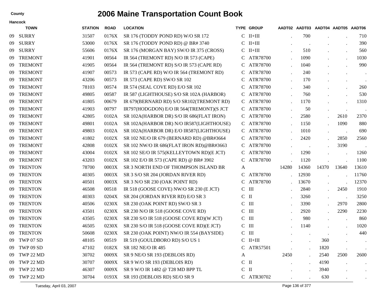|     | <b>Hancock</b> |                |             |                                            |        |                     |           |                                    |           |           |               |
|-----|----------------|----------------|-------------|--------------------------------------------|--------|---------------------|-----------|------------------------------------|-----------|-----------|---------------|
|     | <b>TOWN</b>    | <b>STATION</b> | <b>ROAD</b> | <b>LOCATION</b>                            |        | <b>TYPE GROUP</b>   |           | AADT02 AADT03 AADT04 AADT05 AADT06 |           |           |               |
| 09  | SURRY          | 31507          | 0176X       | SR 176 (TODDY POND RD) W/O SR 172          | C      | $II+III$            |           | 700                                |           |           | 710           |
| 09  | <b>SURRY</b>   | 53000          | 0176X       | SR 176 (TODDY POND RD) @ BR# 3740          | C      | $II+III$            |           |                                    |           |           | 390           |
| 09  | <b>SURRY</b>   | 55606          | 0176X       | SR 176 (MORGAN BAY) SW/O IR 375 (CROSS)    | C      | $II+III$            |           | 510                                |           |           | 560           |
| -09 | <b>TREMONT</b> | 41901          | 00564       | IR 564 (TREMONT RD) N/O IR 573 (CAPE)      | C      | ATR78700            |           | 1090                               |           | $\bullet$ | 1030          |
| 09  | <b>TREMONT</b> | 41905          | 00564       | IR 564 (TREMONT RD) S/O IR 573 (CAPE RD)   | С      | ATR78700            |           | 1040                               |           |           | 990           |
| 09  | <b>TREMONT</b> | 41907          | 00573       | IR 573 (CAPE RD) W/O IR 564 (TREMONT RD)   |        | ATR78700            |           | 240                                |           |           |               |
| 09  | <b>TREMONT</b> | 43206          | 00573       | IR 573 (CAPE RD) SW/O SR 102               | С      | ATR78700            |           | 170                                |           | $\bullet$ | $\sim$        |
| 09  | <b>TREMONT</b> | 78103          | 00574       | IR 574 (SEAL COVE RD) E/O SR 102           | С      | ATR78700            |           | 340                                |           |           | 260           |
| 09  | <b>TREMONT</b> | 49805          | 00587       | IR 587 (LIGHTHOUSE) S/O SR 102A (HARBOR)   |        | ATR78700            |           | 760                                |           |           | 530           |
| 09  | <b>TREMONT</b> | 41805          | 00679       | IR 679(BERNARD RD) S/O SR102(TREMONT RD)   | C.     | ATR78700            |           | 1170                               |           |           | 1310          |
| 09  | <b>TREMONT</b> | 41903          | 00797       | IR797(HODGDON) E/O IR 564(TREMONT)(S JCT   | C      | ATR78700            |           | 50                                 | $\bullet$ | $\bullet$ | $\sim$ $\sim$ |
| 09  | <b>TREMONT</b> | 42805          | 0102A       | SR 102A(HARBOR DR) S/O IR 686(FLAT IRON)   | C      | ATR78700            |           | 2580                               |           | 2610      | 2370          |
| 09  | <b>TREMONT</b> | 49801          | 0102A       | SR 102A(HARBOR DR) N/O IR587(LIGHTHOUSE)   | C.     | ATR78700            |           | 1150                               |           | 1090      | 880           |
| 09  | <b>TREMONT</b> | 49803          | 0102A       | SR 102A(HARBOR DR) E/O IR587(LIGHTHOUSE)   | C      | ATR78700            |           | 1010                               | $\bullet$ |           | 690           |
| 09  | <b>TREMONT</b> | 41802          | 0102X       | SR 102 NE/O IR 679 (BERNARD RD) @BR#3664   | C      | ATR78700            |           | 2420                               |           | 2850      | 2560          |
| 09  | <b>TREMONT</b> | 42808          | 0102X       | SR 102 NW/O IR 686(FLAT IRON RD)@BR#3663   | С      | ATR78700            |           |                                    |           | 3190      |               |
| 09  | <b>TREMONT</b> | 43004          | 0102X       | SR 102 SE/O IR 575 (KELLEYTOWN RD) (E JCT) | C      | ATR78700            |           | 1290                               |           |           | 1260          |
| 09  | <b>TREMONT</b> | 43203          | 0102X       | SR 102 E/O IR 573 (CAPE RD) @ BR# 3902     | C      | ATR78700            |           | 1120                               |           |           | 1100          |
| 09  | <b>TRENTON</b> | 78700          | 0003X       | SR 3 NORTH END OF THOMPSON ISLAND BR       | A      |                     | 14280     | 14360                              | 14370     | 13640     | 13610         |
| 09  | <b>TRENTON</b> | 40305          | 0003X       | SR 3 S/O SR 204 (JORDAN RIVER RD)          | С      | ATR78700            |           | 12930                              |           |           | 11760         |
| 09  | <b>TRENTON</b> | 40501          | 0003X       | SR 3 N/O SR 230 (OAK POINT RD)             |        | ATR78700            |           | 13670                              |           |           | 12370         |
| 09  | <b>TRENTON</b> | 46508          | 00518       | IR 518 (GOOSE COVE) NW/O SR 230 (E JCT)    | C      | $\mathop{\rm III}$  |           | 2840                               |           | 2450      | 1910          |
| 09  | <b>TRENTON</b> | 40303          | 0204X       | SR 204 (JORDAN RIVER RD) E/O SR 3          | C      | $\mathbf{I}$        |           | 3260                               | $\bullet$ |           | 3250          |
| 09  | <b>TRENTON</b> | 40506          | 0230X       | SR 230 (OAK POINT RD) SW/O SR 3            | C      | $\mathop{\rm III}$  |           | 3390                               |           | 2970      | 2800          |
| 09  | <b>TRENTON</b> | 43501          | 0230X       | SR 230 N/O IR 518 (GOOSE COVE RD)          | C      | $\mathop{\rm III}$  |           | 2920                               |           | 2290      | 2230          |
| 09  | <b>TRENTON</b> | 43505          | 0230X       | SR 230 S/O IR 518 (GOOSE COVE RD) (W JCT)  | C      | $\mathop{\rm III}$  |           | 980                                |           |           | 860           |
| 09  | <b>TRENTON</b> | 46505          | 0230X       | SR 230 S/O IR 518 (GOOSE COVE RD)(E JCT)   | C      | $\mathbf{H}$        |           | 1140                               |           |           | 1020          |
| 09  | <b>TRENTON</b> | 50608          | 0230X       | SR 230 (OAK POINT) NW/O IR 554 (BAYSIDE)   | C      | $\mathop{\rm III}$  |           |                                    |           |           | 440           |
| 09  | TWP 07 SD      | 48105          | 00519       | IR 519 (GOULDBORO RD) S/O US 1             |        | $\rm C\quad II+III$ |           |                                    | 360       |           | $\bullet$     |
| 09  | TWP 09 SD      | 47102          | 0182X       | SR 182 NE/O IR 485                         | C      | ATR57501            |           |                                    | 1820      | $\bullet$ | $\bullet$     |
| 09  | TWP 22 MD      | 30702          | 0009X       | SR 9 NE/O SR 193 (DEBLOIS RD)              | A      |                     | 2450      | $\cdot$                            | 2540      | 2500      | 2600          |
| 09  | TWP 22 MD      | 30707          | 0009X       | SR 9 W/O SR 193 (DEBLOIS RD)               | $C$ II |                     | $\bullet$ | $\bullet$                          | 4190      |           |               |
| 09  | TWP 22 MD      | 46307          | 0009X       | SR 9 W/O IR 1482 @ T28 MD BPP TL           | $C$ II |                     |           | $\cdot$                            | 3940      |           | $\bullet$     |
| 09  | TWP 22 MD      | 30704          | 0193X       | SR 193 (DEBLOIS RD) SE/O SR 9              |        | C ATR30702          |           |                                    | 630       |           | $\bullet$ .   |